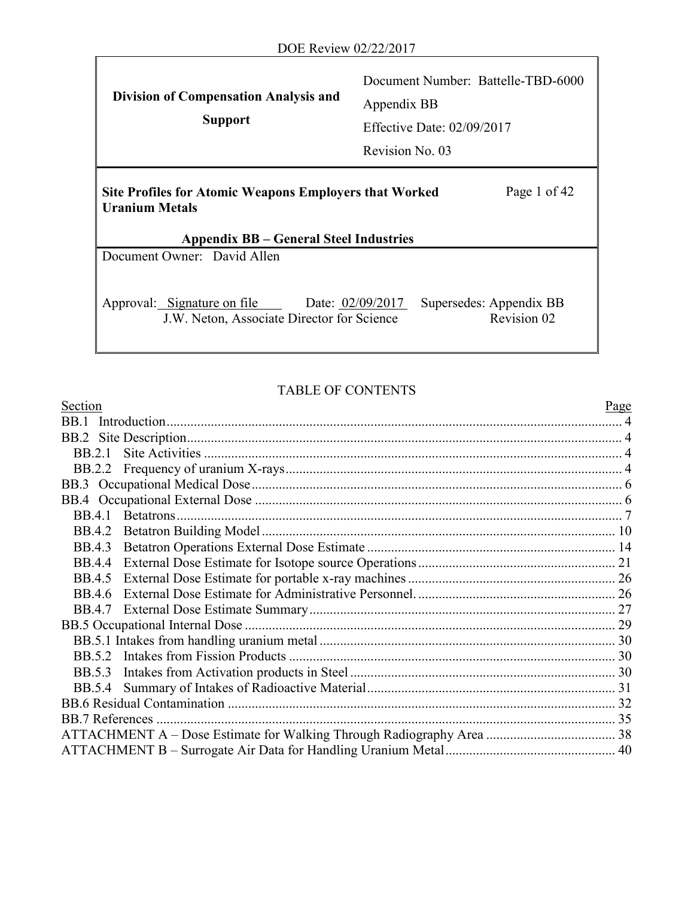| <b>Division of Compensation Analysis and</b><br><b>Support</b>                                                                                          | Document Number: Battelle-TBD-6000<br>Appendix BB<br>Effective Date: $02/09/2017$<br>Revision No. 03 |  |  |  |  |
|---------------------------------------------------------------------------------------------------------------------------------------------------------|------------------------------------------------------------------------------------------------------|--|--|--|--|
| Page 1 of 42<br><b>Site Profiles for Atomic Weapons Employers that Worked</b><br><b>Uranium Metals</b><br><b>Appendix BB – General Steel Industries</b> |                                                                                                      |  |  |  |  |
| Document Owner: David Allen                                                                                                                             |                                                                                                      |  |  |  |  |
| Approval: Signature on file Date: 02/09/2017<br>J.W. Neton, Associate Director for Science                                                              | Supersedes: Appendix BB<br>Revision 02                                                               |  |  |  |  |

# TABLE OF CONTENTS

| Section       | Page |
|---------------|------|
|               |      |
|               |      |
|               |      |
|               |      |
|               |      |
|               |      |
|               |      |
| <b>BB.4.2</b> |      |
| <b>BB.4.3</b> |      |
| <b>BB.4.4</b> |      |
| BB.4.5        |      |
| <b>BB.4.6</b> |      |
|               |      |
|               |      |
|               |      |
|               |      |
|               |      |
|               |      |
|               |      |
|               |      |
|               |      |
|               |      |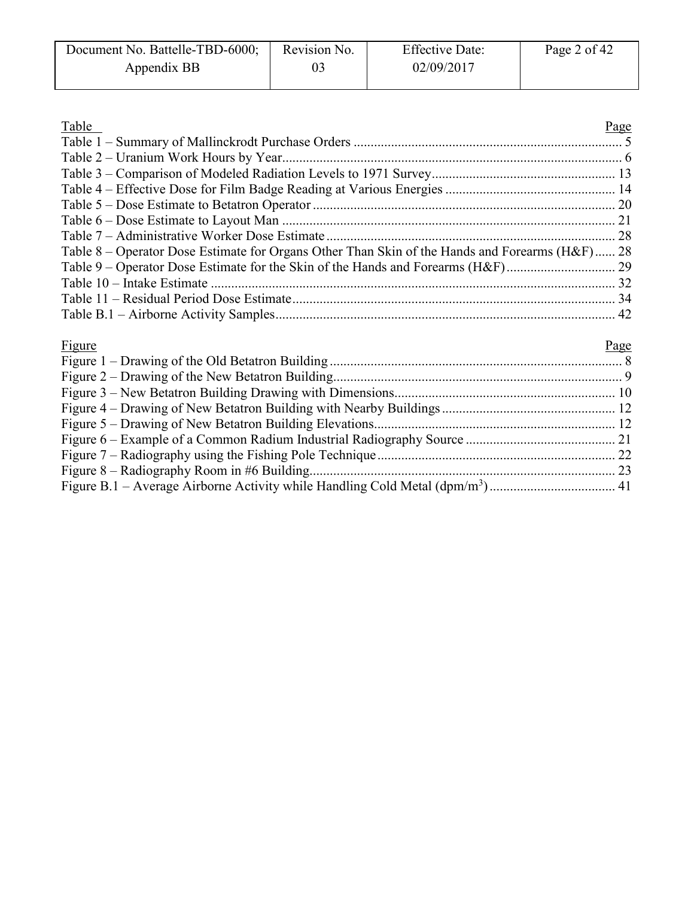| Document No. Battelle-TBD-6000; | Revision No. | <b>Effective Date:</b> | Page 2 of 42 |
|---------------------------------|--------------|------------------------|--------------|
| Appendix BB                     |              | 02/09/2017             |              |

| Table                                                                                          | Page |
|------------------------------------------------------------------------------------------------|------|
|                                                                                                |      |
|                                                                                                |      |
|                                                                                                |      |
|                                                                                                |      |
|                                                                                                |      |
|                                                                                                |      |
|                                                                                                |      |
| Table 8 – Operator Dose Estimate for Organs Other Than Skin of the Hands and Forearms (H&F) 28 |      |
|                                                                                                |      |
|                                                                                                |      |
|                                                                                                |      |
|                                                                                                |      |
|                                                                                                |      |
| <u>Figure</u>                                                                                  | Page |
|                                                                                                |      |
|                                                                                                |      |
|                                                                                                |      |
|                                                                                                |      |
|                                                                                                |      |
|                                                                                                |      |
|                                                                                                |      |
|                                                                                                |      |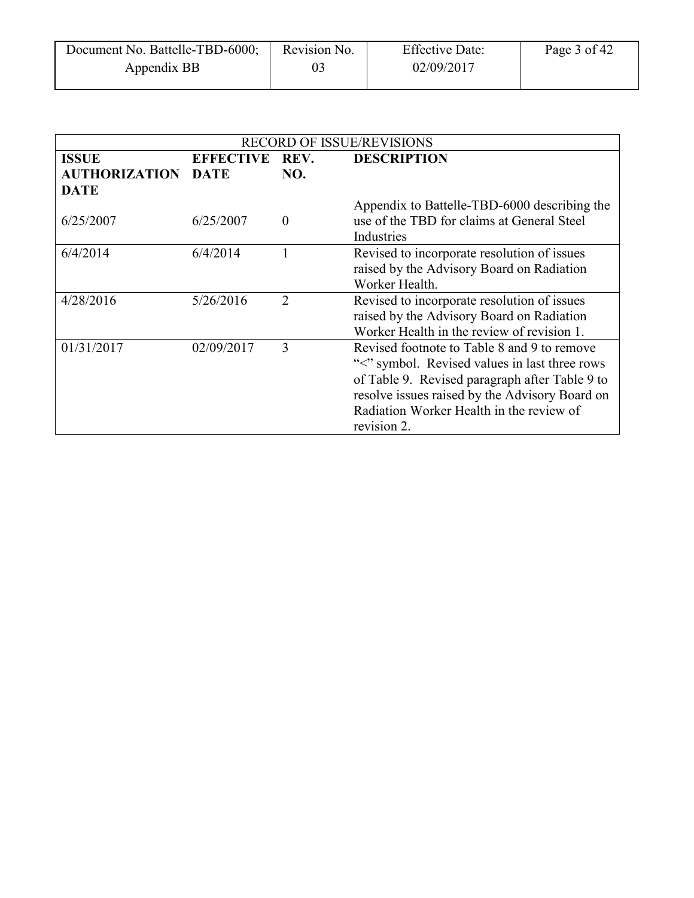| Document No. Battelle-TBD-6000; | Revision No. | <b>Effective Date:</b> | Page 3 of 42 |
|---------------------------------|--------------|------------------------|--------------|
| Appendix BB                     |              | 02/09/2017             |              |

| <b>RECORD OF ISSUE/REVISIONS</b> |                  |               |                                                                                                                                                                                                                                                              |  |  |
|----------------------------------|------------------|---------------|--------------------------------------------------------------------------------------------------------------------------------------------------------------------------------------------------------------------------------------------------------------|--|--|
| <b>ISSUE</b>                     | <b>EFFECTIVE</b> | REV.          | <b>DESCRIPTION</b>                                                                                                                                                                                                                                           |  |  |
| <b>AUTHORIZATION</b>             | <b>DATE</b>      | NO.           |                                                                                                                                                                                                                                                              |  |  |
| <b>DATE</b>                      |                  |               |                                                                                                                                                                                                                                                              |  |  |
| 6/25/2007                        | 6/25/2007        | $\Omega$      | Appendix to Battelle-TBD-6000 describing the<br>use of the TBD for claims at General Steel<br>Industries                                                                                                                                                     |  |  |
| 6/4/2014                         | 6/4/2014         |               | Revised to incorporate resolution of issues<br>raised by the Advisory Board on Radiation<br>Worker Health.                                                                                                                                                   |  |  |
| 4/28/2016                        | 5/26/2016        | $\mathcal{D}$ | Revised to incorporate resolution of issues<br>raised by the Advisory Board on Radiation<br>Worker Health in the review of revision 1.                                                                                                                       |  |  |
| 01/31/2017                       | 02/09/2017       | 3             | Revised footnote to Table 8 and 9 to remove<br>"">" symbol. Revised values in last three rows<br>of Table 9. Revised paragraph after Table 9 to<br>resolve issues raised by the Advisory Board on<br>Radiation Worker Health in the review of<br>revision 2. |  |  |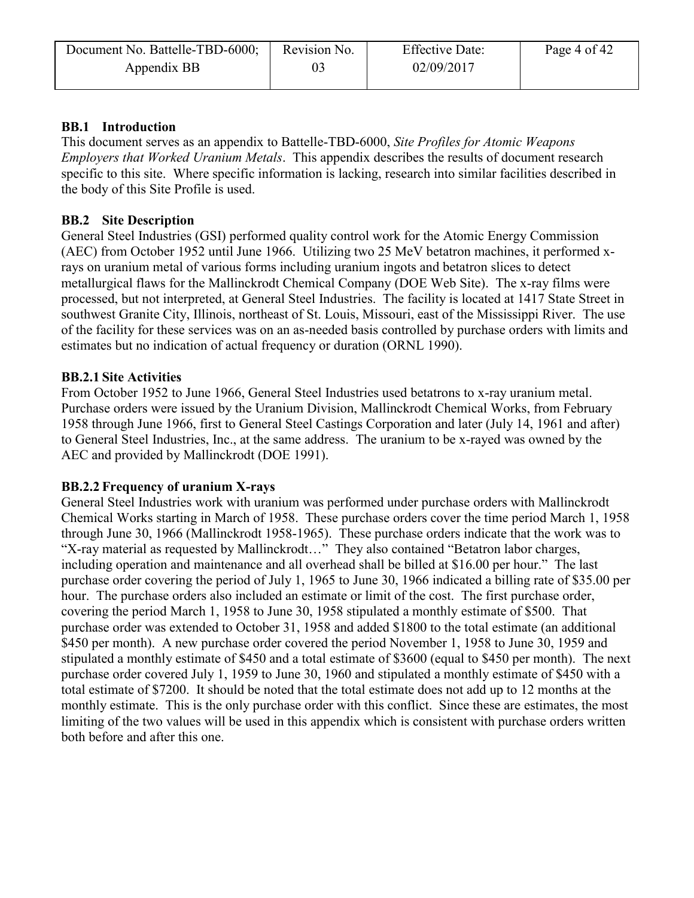| Document No. Battelle-TBD-6000; | Revision No. | <b>Effective Date:</b> | Page 4 of 42 |
|---------------------------------|--------------|------------------------|--------------|
| Appendix BB                     |              | 02/09/2017             |              |

### <span id="page-3-0"></span>**BB.1 Introduction**

This document serves as an appendix to Battelle-TBD-6000, *Site Profiles for Atomic Weapons Employers that Worked Uranium Metals*. This appendix describes the results of document research specific to this site. Where specific information is lacking, research into similar facilities described in the body of this Site Profile is used.

## <span id="page-3-1"></span>**BB.2 Site Description**

General Steel Industries (GSI) performed quality control work for the Atomic Energy Commission (AEC) from October 1952 until June 1966. Utilizing two 25 MeV betatron machines, it performed xrays on uranium metal of various forms including uranium ingots and betatron slices to detect metallurgical flaws for the Mallinckrodt Chemical Company (DOE Web Site). The x-ray films were processed, but not interpreted, at General Steel Industries. The facility is located at 1417 State Street in southwest Granite City, Illinois, northeast of St. Louis, Missouri, east of the Mississippi River. The use of the facility for these services was on an as-needed basis controlled by purchase orders with limits and estimates but no indication of actual frequency or duration (ORNL 1990).

### <span id="page-3-2"></span>**BB.2.1 Site Activities**

From October 1952 to June 1966, General Steel Industries used betatrons to x-ray uranium metal. Purchase orders were issued by the Uranium Division, Mallinckrodt Chemical Works, from February 1958 through June 1966, first to General Steel Castings Corporation and later (July 14, 1961 and after) to General Steel Industries, Inc., at the same address. The uranium to be x-rayed was owned by the AEC and provided by Mallinckrodt (DOE 1991).

### <span id="page-3-3"></span>**BB.2.2 Frequency of uranium X-rays**

General Steel Industries work with uranium was performed under purchase orders with Mallinckrodt Chemical Works starting in March of 1958. These purchase orders cover the time period March 1, 1958 through June 30, 1966 (Mallinckrodt 1958-1965). These purchase orders indicate that the work was to "X-ray material as requested by Mallinckrodt…" They also contained "Betatron labor charges, including operation and maintenance and all overhead shall be billed at \$16.00 per hour." The last purchase order covering the period of July 1, 1965 to June 30, 1966 indicated a billing rate of \$35.00 per hour. The purchase orders also included an estimate or limit of the cost. The first purchase order, covering the period March 1, 1958 to June 30, 1958 stipulated a monthly estimate of \$500. That purchase order was extended to October 31, 1958 and added \$1800 to the total estimate (an additional \$450 per month). A new purchase order covered the period November 1, 1958 to June 30, 1959 and stipulated a monthly estimate of \$450 and a total estimate of \$3600 (equal to \$450 per month). The next purchase order covered July 1, 1959 to June 30, 1960 and stipulated a monthly estimate of \$450 with a total estimate of \$7200. It should be noted that the total estimate does not add up to 12 months at the monthly estimate. This is the only purchase order with this conflict. Since these are estimates, the most limiting of the two values will be used in this appendix which is consistent with purchase orders written both before and after this one.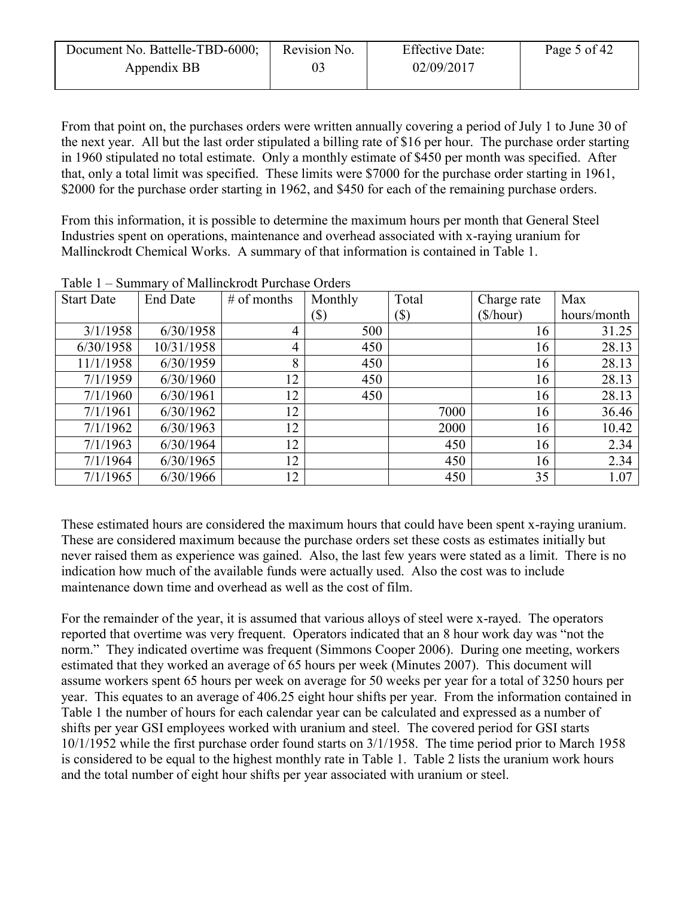| Revision No. | <b>Effective Date:</b> | Page 5 of 42 |
|--------------|------------------------|--------------|
| 03           | 02/09/2017             |              |
|              |                        |              |

From that point on, the purchases orders were written annually covering a period of July 1 to June 30 of the next year. All but the last order stipulated a billing rate of \$16 per hour. The purchase order starting in 1960 stipulated no total estimate. Only a monthly estimate of \$450 per month was specified. After that, only a total limit was specified. These limits were \$7000 for the purchase order starting in 1961, \$2000 for the purchase order starting in 1962, and \$450 for each of the remaining purchase orders.

From this information, it is possible to determine the maximum hours per month that General Steel Industries spent on operations, maintenance and overhead associated with x-raying uranium for Mallinckrodt Chemical Works. A summary of that information is contained in Table 1.

| <b>Start Date</b> | <b>End Date</b> | $#$ of months | Monthly | Total | Charge rate | Max         |
|-------------------|-----------------|---------------|---------|-------|-------------|-------------|
|                   |                 |               | (\$)    | (\$)  | (\$/hour)   | hours/month |
| 3/1/1958          | 6/30/1958       | 4             | 500     |       | 16          | 31.25       |
| 6/30/1958         | 10/31/1958      | 4             | 450     |       | 16          | 28.13       |
| 11/1/1958         | 6/30/1959       | 8             | 450     |       | 16          | 28.13       |
| 7/1/1959          | 6/30/1960       | 12            | 450     |       | 16          | 28.13       |
| 7/1/1960          | 6/30/1961       | 12            | 450     |       | 16          | 28.13       |
| 7/1/1961          | 6/30/1962       | 12            |         | 7000  | 16          | 36.46       |
| 7/1/1962          | 6/30/1963       | 12            |         | 2000  | 16          | 10.42       |
| 7/1/1963          | 6/30/1964       | 12            |         | 450   | 16          | 2.34        |
| 7/1/1964          | 6/30/1965       | 12            |         | 450   | 16          | 2.34        |
| 7/1/1965          | 6/30/1966       | 12            |         | 450   | 35          | 1.07        |

<span id="page-4-0"></span>Table 1 – Summary of Mallinckrodt Purchase Orders

These estimated hours are considered the maximum hours that could have been spent x-raying uranium. These are considered maximum because the purchase orders set these costs as estimates initially but never raised them as experience was gained. Also, the last few years were stated as a limit. There is no indication how much of the available funds were actually used. Also the cost was to include maintenance down time and overhead as well as the cost of film.

For the remainder of the year, it is assumed that various alloys of steel were x-rayed. The operators reported that overtime was very frequent. Operators indicated that an 8 hour work day was "not the norm." They indicated overtime was frequent (Simmons Cooper 2006). During one meeting, workers estimated that they worked an average of 65 hours per week (Minutes 2007). This document will assume workers spent 65 hours per week on average for 50 weeks per year for a total of 3250 hours per year. This equates to an average of 406.25 eight hour shifts per year. From the information contained in Table 1 the number of hours for each calendar year can be calculated and expressed as a number of shifts per year GSI employees worked with uranium and steel. The covered period for GSI starts 10/1/1952 while the first purchase order found starts on 3/1/1958. The time period prior to March 1958 is considered to be equal to the highest monthly rate in Table 1. Table 2 lists the uranium work hours and the total number of eight hour shifts per year associated with uranium or steel.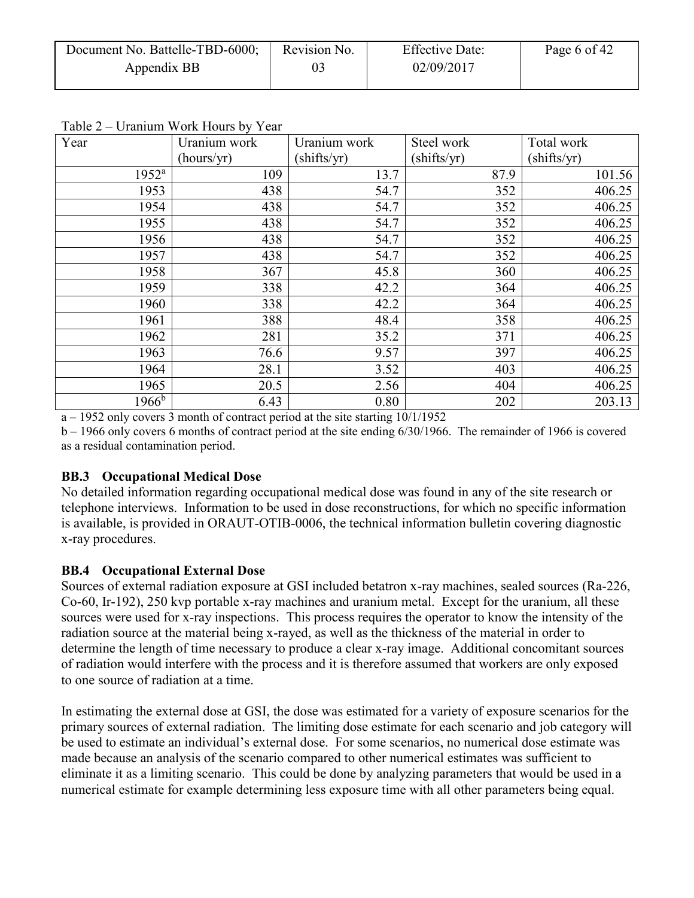| Document No. Battelle-TBD-6000; | Revision No. | <b>Effective Date:</b> | Page 6 of 42 |
|---------------------------------|--------------|------------------------|--------------|
| Appendix BB                     |              | 02/09/2017             |              |

| Year           | Uranium work | Uranium work | Steel work  | Total work  |
|----------------|--------------|--------------|-------------|-------------|
|                | (hours/yr)   | (shifts/yr)  | (shifts/yr) | (shifts/yr) |
| $1952^{\rm a}$ | 109          | 13.7         | 87.9        | 101.56      |
| 1953           | 438          | 54.7         | 352         | 406.25      |
| 1954           | 438          | 54.7         | 352         | 406.25      |
| 1955           | 438          | 54.7         | 352         | 406.25      |
| 1956           | 438          | 54.7         | 352         | 406.25      |
| 1957           | 438          | 54.7         | 352         | 406.25      |
| 1958           | 367          | 45.8         | 360         | 406.25      |
| 1959           | 338          | 42.2         | 364         | 406.25      |
| 1960           | 338          | 42.2         | 364         | 406.25      |
| 1961           | 388          | 48.4         | 358         | 406.25      |
| 1962           | 281          | 35.2         | 371         | 406.25      |
| 1963           | 76.6         | 9.57         | 397         | 406.25      |
| 1964           | 28.1         | 3.52         | 403         | 406.25      |
| 1965           | 20.5         | 2.56         | 404         | 406.25      |
| $1966^{\rm b}$ | 6.43         | 0.80         | 202         | 203.13      |

<span id="page-5-2"></span>Table 2 – Uranium Work Hours by Year

a – 1952 only covers 3 month of contract period at the site starting 10/1/1952

b – 1966 only covers 6 months of contract period at the site ending 6/30/1966. The remainder of 1966 is covered as a residual contamination period.

### <span id="page-5-0"></span>**BB.3 Occupational Medical Dose**

No detailed information regarding occupational medical dose was found in any of the site research or telephone interviews. Information to be used in dose reconstructions, for which no specific information is available, is provided in ORAUT-OTIB-0006, the technical information bulletin covering diagnostic x-ray procedures.

### <span id="page-5-1"></span>**BB.4 Occupational External Dose**

Sources of external radiation exposure at GSI included betatron x-ray machines, sealed sources (Ra-226, Co-60, Ir-192), 250 kvp portable x-ray machines and uranium metal. Except for the uranium, all these sources were used for x-ray inspections. This process requires the operator to know the intensity of the radiation source at the material being x-rayed, as well as the thickness of the material in order to determine the length of time necessary to produce a clear x-ray image. Additional concomitant sources of radiation would interfere with the process and it is therefore assumed that workers are only exposed to one source of radiation at a time.

In estimating the external dose at GSI, the dose was estimated for a variety of exposure scenarios for the primary sources of external radiation. The limiting dose estimate for each scenario and job category will be used to estimate an individual's external dose. For some scenarios, no numerical dose estimate was made because an analysis of the scenario compared to other numerical estimates was sufficient to eliminate it as a limiting scenario. This could be done by analyzing parameters that would be used in a numerical estimate for example determining less exposure time with all other parameters being equal.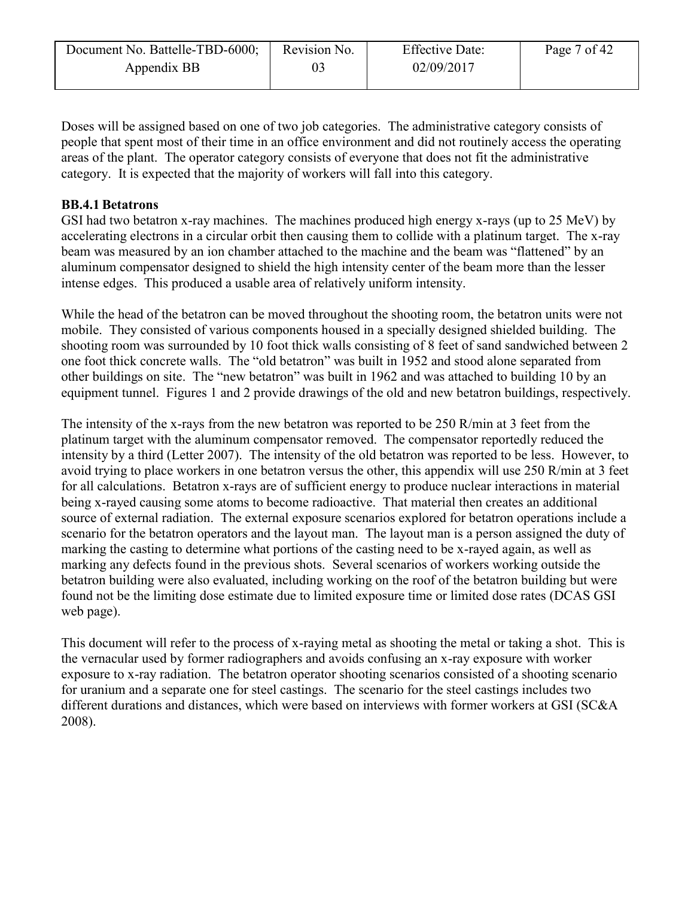| Document No. Battelle-TBD-6000; | Revision No. | <b>Effective Date:</b> | Page 7 of 42 |
|---------------------------------|--------------|------------------------|--------------|
| Appendix BB                     |              | 02/09/2017             |              |

Doses will be assigned based on one of two job categories. The administrative category consists of people that spent most of their time in an office environment and did not routinely access the operating areas of the plant. The operator category consists of everyone that does not fit the administrative category. It is expected that the majority of workers will fall into this category.

### <span id="page-6-0"></span>**BB.4.1 Betatrons**

GSI had two betatron x-ray machines. The machines produced high energy x-rays (up to 25 MeV) by accelerating electrons in a circular orbit then causing them to collide with a platinum target. The x-ray beam was measured by an ion chamber attached to the machine and the beam was "flattened" by an aluminum compensator designed to shield the high intensity center of the beam more than the lesser intense edges. This produced a usable area of relatively uniform intensity.

While the head of the betatron can be moved throughout the shooting room, the betatron units were not mobile. They consisted of various components housed in a specially designed shielded building. The shooting room was surrounded by 10 foot thick walls consisting of 8 feet of sand sandwiched between 2 one foot thick concrete walls. The "old betatron" was built in 1952 and stood alone separated from other buildings on site. The "new betatron" was built in 1962 and was attached to building 10 by an equipment tunnel. Figures 1 and 2 provide drawings of the old and new betatron buildings, respectively.

The intensity of the x-rays from the new betatron was reported to be 250 R/min at 3 feet from the platinum target with the aluminum compensator removed. The compensator reportedly reduced the intensity by a third (Letter 2007). The intensity of the old betatron was reported to be less. However, to avoid trying to place workers in one betatron versus the other, this appendix will use 250 R/min at 3 feet for all calculations. Betatron x-rays are of sufficient energy to produce nuclear interactions in material being x-rayed causing some atoms to become radioactive. That material then creates an additional source of external radiation. The external exposure scenarios explored for betatron operations include a scenario for the betatron operators and the layout man. The layout man is a person assigned the duty of marking the casting to determine what portions of the casting need to be x-rayed again, as well as marking any defects found in the previous shots. Several scenarios of workers working outside the betatron building were also evaluated, including working on the roof of the betatron building but were found not be the limiting dose estimate due to limited exposure time or limited dose rates (DCAS GSI web page).

This document will refer to the process of x-raying metal as shooting the metal or taking a shot. This is the vernacular used by former radiographers and avoids confusing an x-ray exposure with worker exposure to x-ray radiation. The betatron operator shooting scenarios consisted of a shooting scenario for uranium and a separate one for steel castings. The scenario for the steel castings includes two different durations and distances, which were based on interviews with former workers at GSI (SC&A 2008).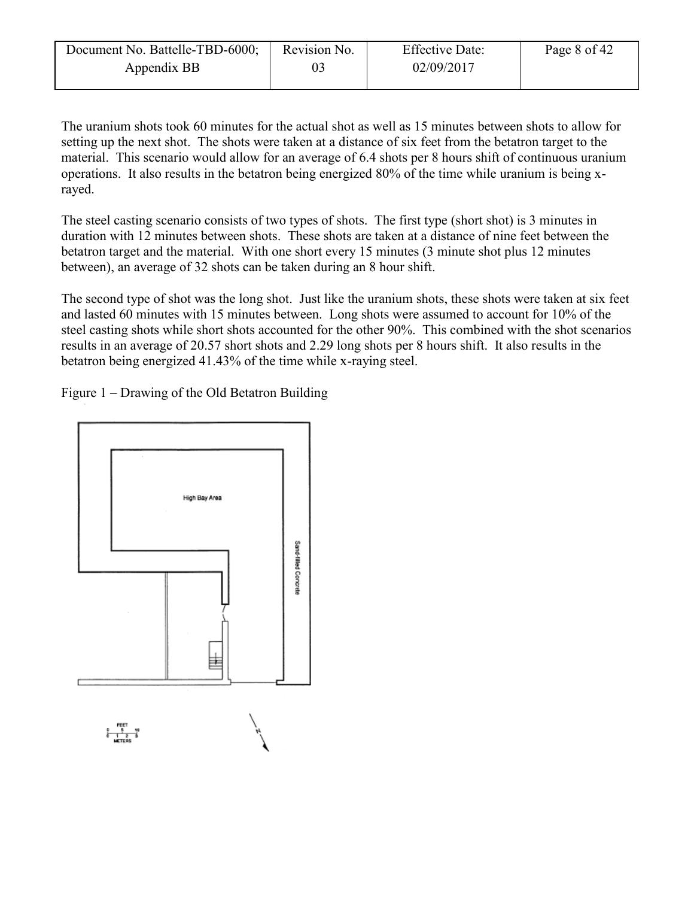| Document No. Battelle-TBD-6000; | Revision No. | <b>Effective Date:</b> | Page 8 of 42 |
|---------------------------------|--------------|------------------------|--------------|
| Appendix BB                     | 03           | 02/09/2017             |              |

The uranium shots took 60 minutes for the actual shot as well as 15 minutes between shots to allow for setting up the next shot. The shots were taken at a distance of six feet from the betatron target to the material. This scenario would allow for an average of 6.4 shots per 8 hours shift of continuous uranium operations. It also results in the betatron being energized 80% of the time while uranium is being xrayed.

The steel casting scenario consists of two types of shots. The first type (short shot) is 3 minutes in duration with 12 minutes between shots. These shots are taken at a distance of nine feet between the betatron target and the material. With one short every 15 minutes (3 minute shot plus 12 minutes between), an average of 32 shots can be taken during an 8 hour shift.

The second type of shot was the long shot. Just like the uranium shots, these shots were taken at six feet and lasted 60 minutes with 15 minutes between. Long shots were assumed to account for 10% of the steel casting shots while short shots accounted for the other 90%. This combined with the shot scenarios results in an average of 20.57 short shots and 2.29 long shots per 8 hours shift. It also results in the betatron being energized 41.43% of the time while x-raying steel.

<span id="page-7-0"></span>Figure 1 – Drawing of the Old Betatron Building

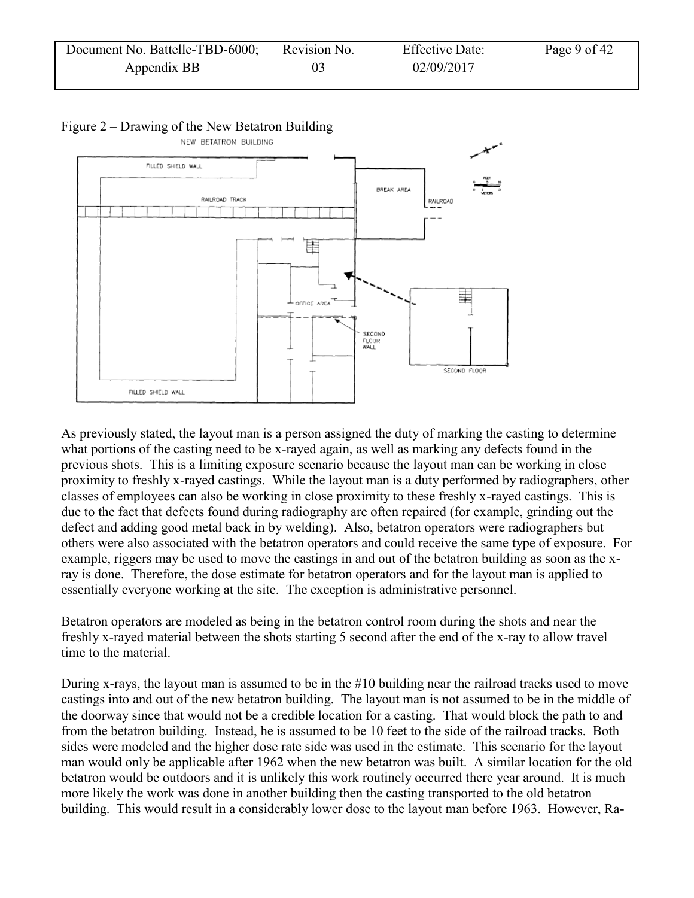| Document No. Battelle-TBD-6000; | Revision No. | <b>Effective Date:</b> | Page 9 of 42 |
|---------------------------------|--------------|------------------------|--------------|
| Appendix BB                     |              | 02/09/2017             |              |

<span id="page-8-0"></span>Figure 2 – Drawing of the New Betatron Building



As previously stated, the layout man is a person assigned the duty of marking the casting to determine what portions of the casting need to be x-rayed again, as well as marking any defects found in the previous shots. This is a limiting exposure scenario because the layout man can be working in close proximity to freshly x-rayed castings. While the layout man is a duty performed by radiographers, other classes of employees can also be working in close proximity to these freshly x-rayed castings. This is due to the fact that defects found during radiography are often repaired (for example, grinding out the defect and adding good metal back in by welding). Also, betatron operators were radiographers but others were also associated with the betatron operators and could receive the same type of exposure. For example, riggers may be used to move the castings in and out of the betatron building as soon as the xray is done. Therefore, the dose estimate for betatron operators and for the layout man is applied to essentially everyone working at the site. The exception is administrative personnel.

Betatron operators are modeled as being in the betatron control room during the shots and near the freshly x-rayed material between the shots starting 5 second after the end of the x-ray to allow travel time to the material.

During x-rays, the layout man is assumed to be in the #10 building near the railroad tracks used to move castings into and out of the new betatron building. The layout man is not assumed to be in the middle of the doorway since that would not be a credible location for a casting. That would block the path to and from the betatron building. Instead, he is assumed to be 10 feet to the side of the railroad tracks. Both sides were modeled and the higher dose rate side was used in the estimate. This scenario for the layout man would only be applicable after 1962 when the new betatron was built. A similar location for the old betatron would be outdoors and it is unlikely this work routinely occurred there year around. It is much more likely the work was done in another building then the casting transported to the old betatron building. This would result in a considerably lower dose to the layout man before 1963. However, Ra-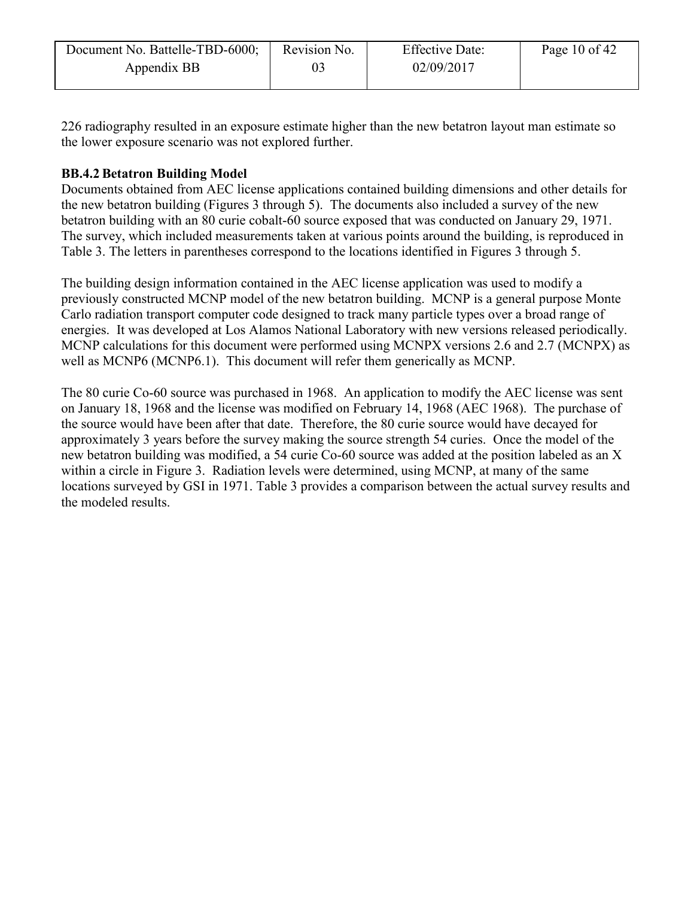| Document No. Battelle-TBD-6000; | Revision No. | <b>Effective Date:</b> | Page 10 of $42$ |
|---------------------------------|--------------|------------------------|-----------------|
| Appendix BB                     | 03           | 02/09/2017             |                 |
|                                 |              |                        |                 |

226 radiography resulted in an exposure estimate higher than the new betatron layout man estimate so the lower exposure scenario was not explored further.

### <span id="page-9-0"></span>**BB.4.2 Betatron Building Model**

Documents obtained from AEC license applications contained building dimensions and other details for the new betatron building (Figures 3 through 5). The documents also included a survey of the new betatron building with an 80 curie cobalt-60 source exposed that was conducted on January 29, 1971. The survey, which included measurements taken at various points around the building, is reproduced in Table 3. The letters in parentheses correspond to the locations identified in Figures 3 through 5.

The building design information contained in the AEC license application was used to modify a previously constructed MCNP model of the new betatron building. MCNP is a general purpose Monte Carlo radiation transport computer code designed to track many particle types over a broad range of energies. It was developed at Los Alamos National Laboratory with new versions released periodically. MCNP calculations for this document were performed using MCNPX versions 2.6 and 2.7 (MCNPX) as well as MCNP6 (MCNP6.1). This document will refer them generically as MCNP.

<span id="page-9-1"></span>The 80 curie Co-60 source was purchased in 1968. An application to modify the AEC license was sent on January 18, 1968 and the license was modified on February 14, 1968 (AEC 1968). The purchase of the source would have been after that date. Therefore, the 80 curie source would have decayed for approximately 3 years before the survey making the source strength 54 curies. Once the model of the new betatron building was modified, a 54 curie Co-60 source was added at the position labeled as an X within a circle in Figure 3. Radiation levels were determined, using MCNP, at many of the same locations surveyed by GSI in 1971. Table 3 provides a comparison between the actual survey results and the modeled results.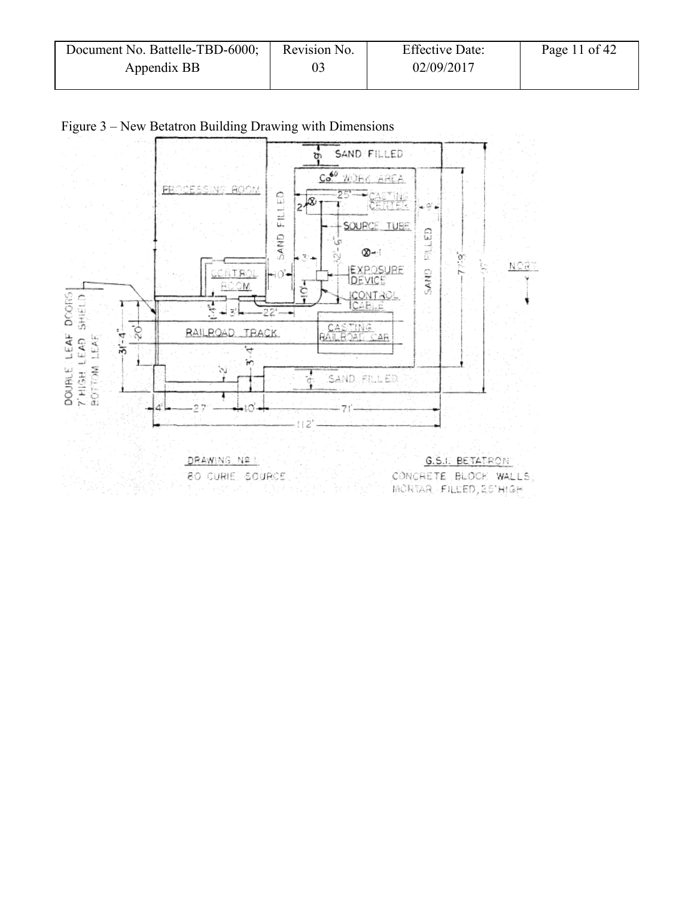| Document No. Battelle-TBD-6000; | Revision No. | <b>Effective Date:</b> | Page 11 of $42$ |
|---------------------------------|--------------|------------------------|-----------------|
| Appendix BB                     |              | 02/09/2017             |                 |

Figure 3 – New Betatron Building Drawing with Dimensions

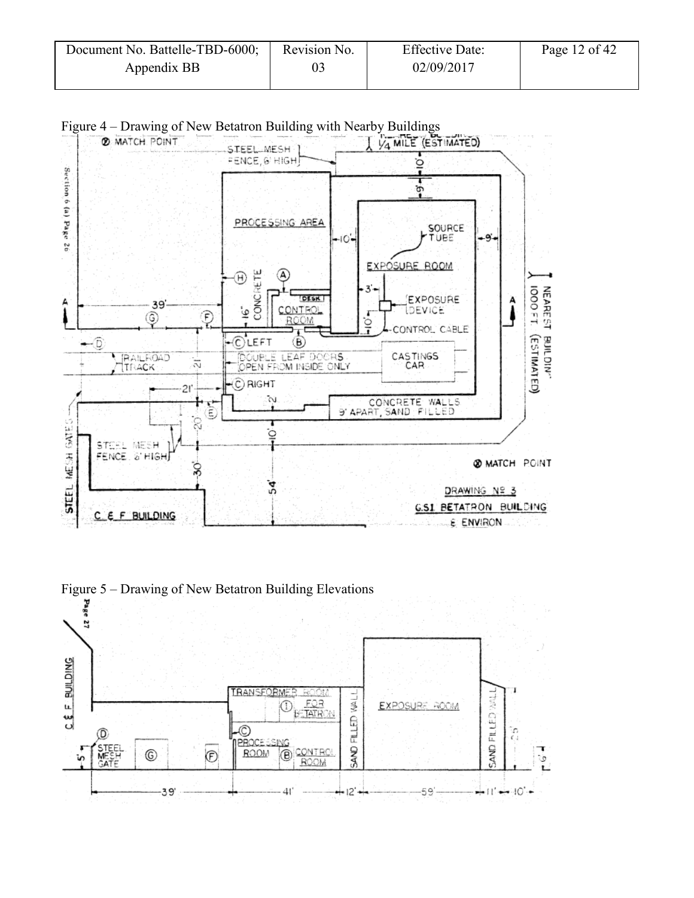| Document No. Battelle-TBD-6000; | Revision No. | <b>Effective Date:</b> | Page 12 of 42 |
|---------------------------------|--------------|------------------------|---------------|
| Appendix BB                     |              | 02/09/2017             |               |

<span id="page-11-0"></span>Figure 4 – Drawing of New Betatron Building with Nearby Buildings<br>  $\sqrt{\frac{1}{4} \text{ MILE}}$  (ESTIMATED) **STEEL MESH** FENCE, & HIGH ó Section 6 (a) Page Ö PROCESSING AREA SOURCE<br>TUBE - 9 -10-엹 EXPOSURE ROOM  $\frac{16}{16}$  B A) ⋒ 3 IOOOFT (ESTIMATED) NEAREST BUILDIN" **DESK** EXPOSURE À А 39 **CONTROL EDEVICE**  $\widehat{\mathbf{F}}$ Ţ ۞ ROOM  $\frac{1}{1}$ CONTROL CABLE CLEFT — চ ◉ DOUBLE LEAF DOORS CASTINGS RAILROAD  $\overline{5}$ C RIGHT 2ľ ÚĎ. CONCRETE WALLS Έ S STEEL MESH SATES 7 ö STEEL MEEH FENCE. & HIGH! **@ MATCH POINT** 30 54 DRAWING Nº 3 **G.S.I. BETATRON BUILDING** E F BUILDING c. E ENVIRON

<span id="page-11-1"></span>Figure 5 – Drawing of New Betatron Building Elevations

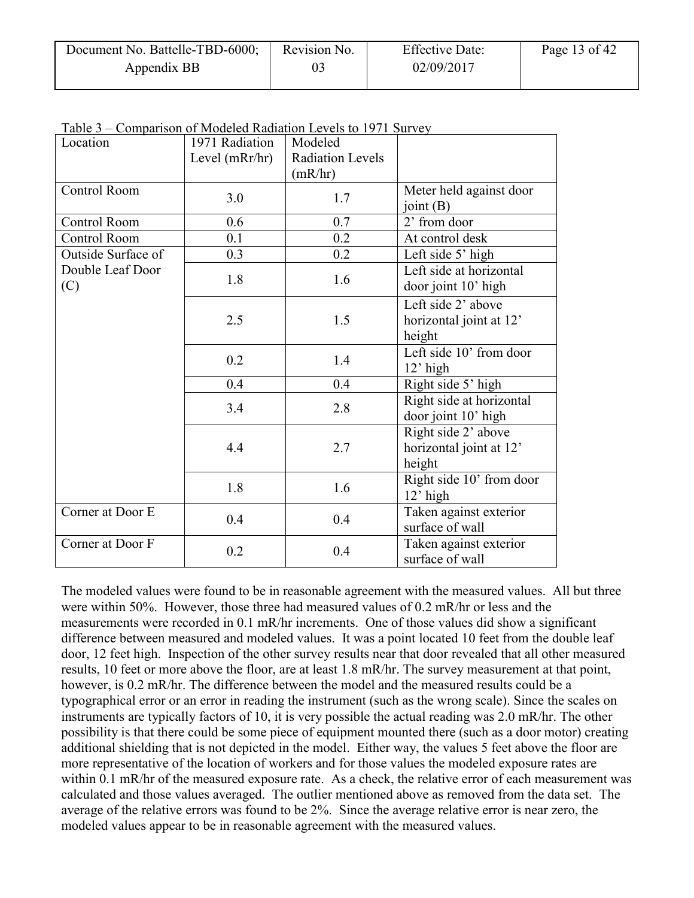| Document No. Battelle-TBD-6000; | Revision No. | <b>Effective Date:</b> | Page 13 of 42 |
|---------------------------------|--------------|------------------------|---------------|
| Appendix BB                     |              | 02/09/2017             |               |

<span id="page-12-0"></span>Table 3 – Comparison of Modeled Radiation Levels to 1971 Survey

| <u>raones comparison</u> of modered radiation Ecrets to 1271 Survey<br>Location | 1971 Radiation   | Modeled                 |                          |
|---------------------------------------------------------------------------------|------------------|-------------------------|--------------------------|
|                                                                                 | Level $(mRr/hr)$ | <b>Radiation Levels</b> |                          |
|                                                                                 |                  | (mR/hr)                 |                          |
| Control Room                                                                    | 3.0              | 1.7                     | Meter held against door  |
|                                                                                 |                  |                         | joint $(B)$              |
| Control Room                                                                    | 0.6              | 0.7                     | 2' from door             |
| Control Room                                                                    | 0.1              | 0.2                     | At control desk          |
| Outside Surface of                                                              | 0.3              | 0.2                     | Left side 5' high        |
| Double Leaf Door                                                                |                  |                         | Left side at horizontal  |
| (C)                                                                             | 1.8              | 1.6                     | door joint 10' high      |
|                                                                                 |                  |                         | Left side 2' above       |
|                                                                                 | 2.5              | 1.5                     | horizontal joint at 12'  |
|                                                                                 |                  |                         | height                   |
|                                                                                 | 0.2              | 1.4                     | Left side 10' from door  |
|                                                                                 |                  |                         | $12'$ high               |
|                                                                                 | 0.4              | 0.4                     | Right side 5' high       |
|                                                                                 | 3.4              | 2.8                     | Right side at horizontal |
|                                                                                 |                  |                         | door joint 10' high      |
|                                                                                 |                  |                         | Right side 2' above      |
|                                                                                 | 4.4              | 2.7                     | horizontal joint at 12'  |
|                                                                                 |                  |                         | height                   |
|                                                                                 | 1.8              | 1.6                     | Right side 10' from door |
|                                                                                 |                  |                         | $12'$ high               |
| Corner at Door E                                                                | 0.4              | 0.4                     | Taken against exterior   |
|                                                                                 |                  |                         | surface of wall          |
| Corner at Door F                                                                | 0.2              | 0.4                     | Taken against exterior   |
|                                                                                 |                  |                         | surface of wall          |

The modeled values were found to be in reasonable agreement with the measured values. All but three were within 50%. However, those three had measured values of 0.2 mR/hr or less and the measurements were recorded in 0.1 mR/hr increments. One of those values did show a significant difference between measured and modeled values. It was a point located 10 feet from the double leaf door, 12 feet high. Inspection of the other survey results near that door revealed that all other measured results, 10 feet or more above the floor, are at least 1.8 mR/hr. The survey measurement at that point, however, is 0.2 mR/hr. The difference between the model and the measured results could be a typographical error or an error in reading the instrument (such as the wrong scale). Since the scales on instruments are typically factors of 10, it is very possible the actual reading was 2.0 mR/hr. The other possibility is that there could be some piece of equipment mounted there (such as a door motor) creating additional shielding that is not depicted in the model. Either way, the values 5 feet above the floor are more representative of the location of workers and for those values the modeled exposure rates are within 0.1 mR/hr of the measured exposure rate. As a check, the relative error of each measurement was calculated and those values averaged. The outlier mentioned above as removed from the data set. The average of the relative errors was found to be 2%. Since the average relative error is near zero, the modeled values appear to be in reasonable agreement with the measured values.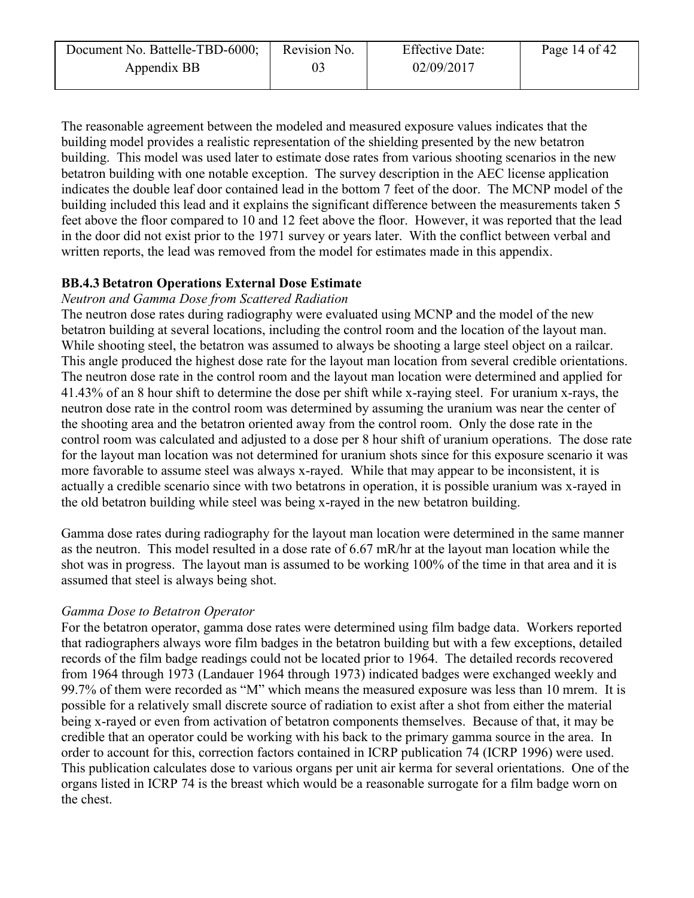| Document No. Battelle-TBD-6000; | Revision No. | <b>Effective Date:</b> | Page 14 of $42$ |
|---------------------------------|--------------|------------------------|-----------------|
| Appendix BB                     |              | 02/09/2017             |                 |

The reasonable agreement between the modeled and measured exposure values indicates that the building model provides a realistic representation of the shielding presented by the new betatron building. This model was used later to estimate dose rates from various shooting scenarios in the new betatron building with one notable exception. The survey description in the AEC license application indicates the double leaf door contained lead in the bottom 7 feet of the door. The MCNP model of the building included this lead and it explains the significant difference between the measurements taken 5 feet above the floor compared to 10 and 12 feet above the floor. However, it was reported that the lead in the door did not exist prior to the 1971 survey or years later. With the conflict between verbal and written reports, the lead was removed from the model for estimates made in this appendix.

### <span id="page-13-0"></span>**BB.4.3 Betatron Operations External Dose Estimate**

#### *Neutron and Gamma Dose from Scattered Radiation*

The neutron dose rates during radiography were evaluated using MCNP and the model of the new betatron building at several locations, including the control room and the location of the layout man. While shooting steel, the betatron was assumed to always be shooting a large steel object on a railcar. This angle produced the highest dose rate for the layout man location from several credible orientations. The neutron dose rate in the control room and the layout man location were determined and applied for 41.43% of an 8 hour shift to determine the dose per shift while x-raying steel. For uranium x-rays, the neutron dose rate in the control room was determined by assuming the uranium was near the center of the shooting area and the betatron oriented away from the control room. Only the dose rate in the control room was calculated and adjusted to a dose per 8 hour shift of uranium operations. The dose rate for the layout man location was not determined for uranium shots since for this exposure scenario it was more favorable to assume steel was always x-rayed. While that may appear to be inconsistent, it is actually a credible scenario since with two betatrons in operation, it is possible uranium was x-rayed in the old betatron building while steel was being x-rayed in the new betatron building.

Gamma dose rates during radiography for the layout man location were determined in the same manner as the neutron. This model resulted in a dose rate of 6.67 mR/hr at the layout man location while the shot was in progress. The layout man is assumed to be working 100% of the time in that area and it is assumed that steel is always being shot.

### *Gamma Dose to Betatron Operator*

<span id="page-13-1"></span>For the betatron operator, gamma dose rates were determined using film badge data. Workers reported that radiographers always wore film badges in the betatron building but with a few exceptions, detailed records of the film badge readings could not be located prior to 1964. The detailed records recovered from 1964 through 1973 (Landauer 1964 through 1973) indicated badges were exchanged weekly and 99.7% of them were recorded as "M" which means the measured exposure was less than 10 mrem. It is possible for a relatively small discrete source of radiation to exist after a shot from either the material being x-rayed or even from activation of betatron components themselves. Because of that, it may be credible that an operator could be working with his back to the primary gamma source in the area. In order to account for this, correction factors contained in ICRP publication 74 (ICRP 1996) were used. This publication calculates dose to various organs per unit air kerma for several orientations. One of the organs listed in ICRP 74 is the breast which would be a reasonable surrogate for a film badge worn on the chest.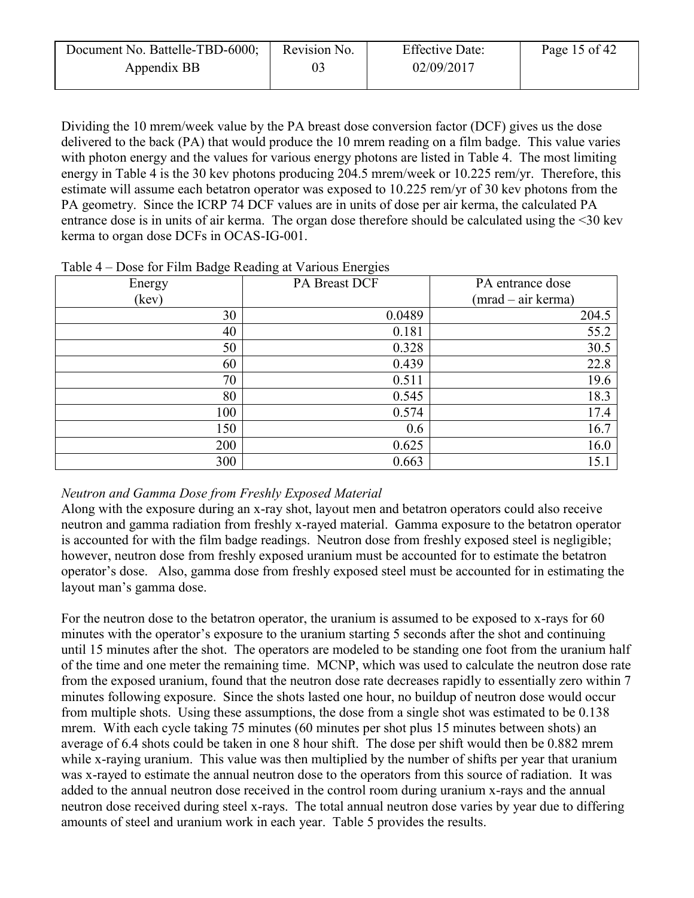| Revision No. | <b>Effective Date:</b> | Page 15 of 42 |
|--------------|------------------------|---------------|
|              | 02/09/2017             |               |
|              |                        |               |

Dividing the 10 mrem/week value by the PA breast dose conversion factor (DCF) gives us the dose delivered to the back (PA) that would produce the 10 mrem reading on a film badge. This value varies with photon energy and the values for various energy photons are listed in Table 4. The most limiting energy in Table 4 is the 30 kev photons producing 204.5 mrem/week or 10.225 rem/yr. Therefore, this estimate will assume each betatron operator was exposed to 10.225 rem/yr of 30 kev photons from the PA geometry. Since the ICRP 74 DCF values are in units of dose per air kerma, the calculated PA entrance dose is in units of air kerma. The organ dose therefore should be calculated using the <30 kev kerma to organ dose DCFs in OCAS-IG-001.

| ----   | ╺<br>-- -- - - |                    |
|--------|----------------|--------------------|
| Energy | PA Breast DCF  | PA entrance dose   |
| (kev)  |                | (mrad – air kerma) |
| 30     | 0.0489         | 204.5              |
| 40     | 0.181          | 55.2               |
| 50     | 0.328          | 30.5               |
| 60     | 0.439          | 22.8               |
| 70     | 0.511          | 19.6               |
| 80     | 0.545          | 18.3               |
| 100    | 0.574          | 17.4               |
| 150    | 0.6            | 16.7               |
| 200    | 0.625          | 16.0               |
| 300    | 0.663          | 15.1               |

Table 4 – Dose for Film Badge Reading at Various Energies

### *Neutron and Gamma Dose from Freshly Exposed Material*

Along with the exposure during an x-ray shot, layout men and betatron operators could also receive neutron and gamma radiation from freshly x-rayed material. Gamma exposure to the betatron operator is accounted for with the film badge readings. Neutron dose from freshly exposed steel is negligible; however, neutron dose from freshly exposed uranium must be accounted for to estimate the betatron operator's dose. Also, gamma dose from freshly exposed steel must be accounted for in estimating the layout man's gamma dose.

For the neutron dose to the betatron operator, the uranium is assumed to be exposed to x-rays for 60 minutes with the operator's exposure to the uranium starting 5 seconds after the shot and continuing until 15 minutes after the shot. The operators are modeled to be standing one foot from the uranium half of the time and one meter the remaining time. MCNP, which was used to calculate the neutron dose rate from the exposed uranium, found that the neutron dose rate decreases rapidly to essentially zero within 7 minutes following exposure. Since the shots lasted one hour, no buildup of neutron dose would occur from multiple shots. Using these assumptions, the dose from a single shot was estimated to be 0.138 mrem. With each cycle taking 75 minutes (60 minutes per shot plus 15 minutes between shots) an average of 6.4 shots could be taken in one 8 hour shift. The dose per shift would then be 0.882 mrem while x-raying uranium. This value was then multiplied by the number of shifts per year that uranium was x-rayed to estimate the annual neutron dose to the operators from this source of radiation. It was added to the annual neutron dose received in the control room during uranium x-rays and the annual neutron dose received during steel x-rays. The total annual neutron dose varies by year due to differing amounts of steel and uranium work in each year. Table 5 provides the results.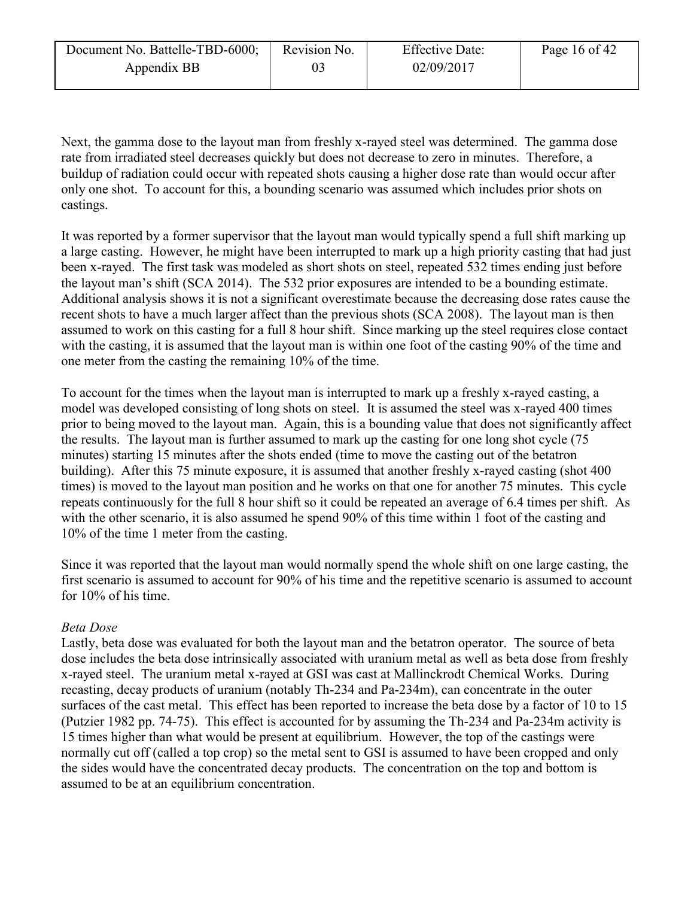| Document No. Battelle-TBD-6000; | Revision No. | <b>Effective Date:</b> | Page 16 of 42 |
|---------------------------------|--------------|------------------------|---------------|
| Appendix BB                     | 03           | 02/09/2017             |               |

Next, the gamma dose to the layout man from freshly x-rayed steel was determined. The gamma dose rate from irradiated steel decreases quickly but does not decrease to zero in minutes. Therefore, a buildup of radiation could occur with repeated shots causing a higher dose rate than would occur after only one shot. To account for this, a bounding scenario was assumed which includes prior shots on castings.

It was reported by a former supervisor that the layout man would typically spend a full shift marking up a large casting. However, he might have been interrupted to mark up a high priority casting that had just been x-rayed. The first task was modeled as short shots on steel, repeated 532 times ending just before the layout man's shift (SCA 2014). The 532 prior exposures are intended to be a bounding estimate. Additional analysis shows it is not a significant overestimate because the decreasing dose rates cause the recent shots to have a much larger affect than the previous shots (SCA 2008). The layout man is then assumed to work on this casting for a full 8 hour shift. Since marking up the steel requires close contact with the casting, it is assumed that the layout man is within one foot of the casting 90% of the time and one meter from the casting the remaining 10% of the time.

To account for the times when the layout man is interrupted to mark up a freshly x-rayed casting, a model was developed consisting of long shots on steel. It is assumed the steel was x-rayed 400 times prior to being moved to the layout man. Again, this is a bounding value that does not significantly affect the results. The layout man is further assumed to mark up the casting for one long shot cycle (75 minutes) starting 15 minutes after the shots ended (time to move the casting out of the betatron building). After this 75 minute exposure, it is assumed that another freshly x-rayed casting (shot 400 times) is moved to the layout man position and he works on that one for another 75 minutes. This cycle repeats continuously for the full 8 hour shift so it could be repeated an average of 6.4 times per shift. As with the other scenario, it is also assumed he spend 90% of this time within 1 foot of the casting and 10% of the time 1 meter from the casting.

Since it was reported that the layout man would normally spend the whole shift on one large casting, the first scenario is assumed to account for 90% of his time and the repetitive scenario is assumed to account for 10% of his time.

### *Beta Dose*

Lastly, beta dose was evaluated for both the layout man and the betatron operator. The source of beta dose includes the beta dose intrinsically associated with uranium metal as well as beta dose from freshly x-rayed steel. The uranium metal x-rayed at GSI was cast at Mallinckrodt Chemical Works. During recasting, decay products of uranium (notably Th-234 and Pa-234m), can concentrate in the outer surfaces of the cast metal. This effect has been reported to increase the beta dose by a factor of 10 to 15 (Putzier 1982 pp. 74-75). This effect is accounted for by assuming the Th-234 and Pa-234m activity is 15 times higher than what would be present at equilibrium. However, the top of the castings were normally cut off (called a top crop) so the metal sent to GSI is assumed to have been cropped and only the sides would have the concentrated decay products. The concentration on the top and bottom is assumed to be at an equilibrium concentration.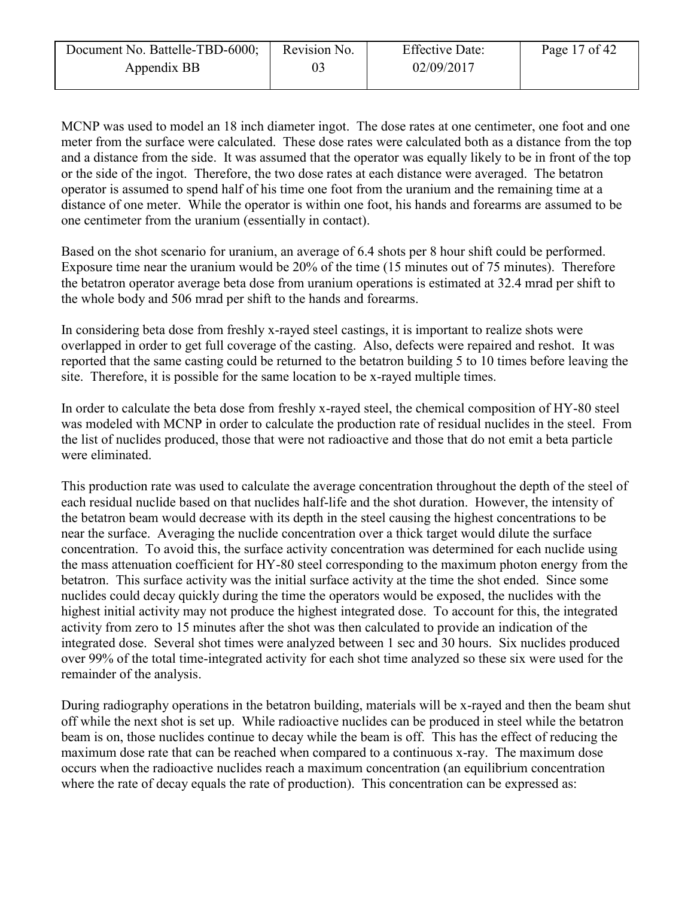| Document No. Battelle-TBD-6000; | Revision No. | <b>Effective Date:</b> | Page 17 of 42 |
|---------------------------------|--------------|------------------------|---------------|
| Appendix BB                     |              | 02/09/2017             |               |

MCNP was used to model an 18 inch diameter ingot. The dose rates at one centimeter, one foot and one meter from the surface were calculated. These dose rates were calculated both as a distance from the top and a distance from the side. It was assumed that the operator was equally likely to be in front of the top or the side of the ingot. Therefore, the two dose rates at each distance were averaged. The betatron operator is assumed to spend half of his time one foot from the uranium and the remaining time at a distance of one meter. While the operator is within one foot, his hands and forearms are assumed to be one centimeter from the uranium (essentially in contact).

Based on the shot scenario for uranium, an average of 6.4 shots per 8 hour shift could be performed. Exposure time near the uranium would be 20% of the time (15 minutes out of 75 minutes). Therefore the betatron operator average beta dose from uranium operations is estimated at 32.4 mrad per shift to the whole body and 506 mrad per shift to the hands and forearms.

In considering beta dose from freshly x-rayed steel castings, it is important to realize shots were overlapped in order to get full coverage of the casting. Also, defects were repaired and reshot. It was reported that the same casting could be returned to the betatron building 5 to 10 times before leaving the site. Therefore, it is possible for the same location to be x-rayed multiple times.

In order to calculate the beta dose from freshly x-rayed steel, the chemical composition of HY-80 steel was modeled with MCNP in order to calculate the production rate of residual nuclides in the steel. From the list of nuclides produced, those that were not radioactive and those that do not emit a beta particle were eliminated.

This production rate was used to calculate the average concentration throughout the depth of the steel of each residual nuclide based on that nuclides half-life and the shot duration. However, the intensity of the betatron beam would decrease with its depth in the steel causing the highest concentrations to be near the surface. Averaging the nuclide concentration over a thick target would dilute the surface concentration. To avoid this, the surface activity concentration was determined for each nuclide using the mass attenuation coefficient for HY-80 steel corresponding to the maximum photon energy from the betatron. This surface activity was the initial surface activity at the time the shot ended. Since some nuclides could decay quickly during the time the operators would be exposed, the nuclides with the highest initial activity may not produce the highest integrated dose. To account for this, the integrated activity from zero to 15 minutes after the shot was then calculated to provide an indication of the integrated dose. Several shot times were analyzed between 1 sec and 30 hours. Six nuclides produced over 99% of the total time-integrated activity for each shot time analyzed so these six were used for the remainder of the analysis.

During radiography operations in the betatron building, materials will be x-rayed and then the beam shut off while the next shot is set up. While radioactive nuclides can be produced in steel while the betatron beam is on, those nuclides continue to decay while the beam is off. This has the effect of reducing the maximum dose rate that can be reached when compared to a continuous x-ray. The maximum dose occurs when the radioactive nuclides reach a maximum concentration (an equilibrium concentration where the rate of decay equals the rate of production). This concentration can be expressed as: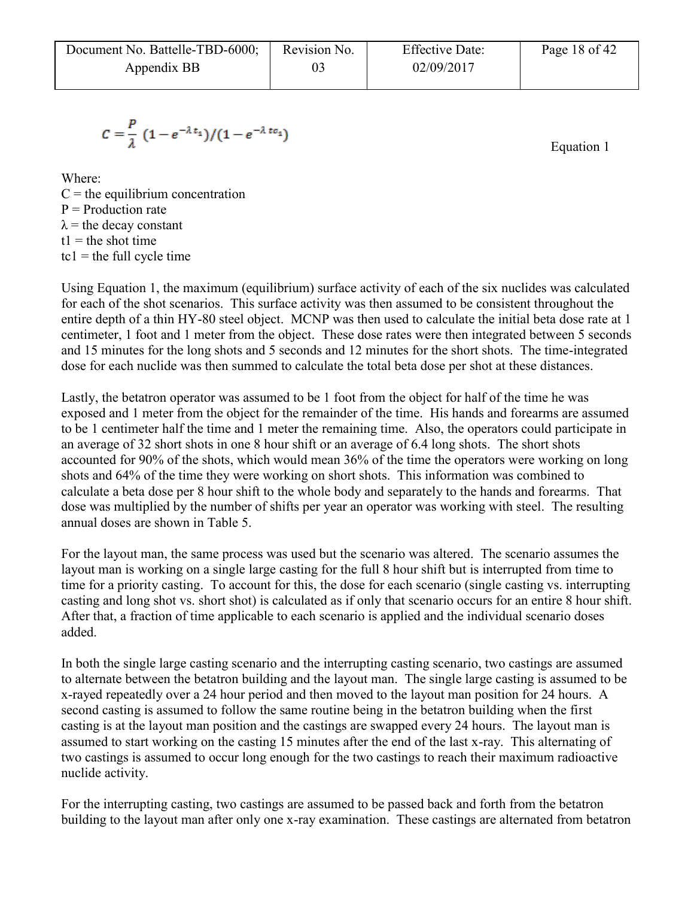$$
C=\frac{P}{\lambda}\,\left(1-e^{-\lambda\,t_1}\right)/(1-e^{-\lambda\,t c_1})
$$

Equation 1

Where:  $C =$  the equilibrium concentration  $P =$  Production rate  $\lambda$  = the decay constant  $t1$  = the shot time  $tc1 =$  the full cycle time

Using Equation 1, the maximum (equilibrium) surface activity of each of the six nuclides was calculated for each of the shot scenarios. This surface activity was then assumed to be consistent throughout the entire depth of a thin HY-80 steel object. MCNP was then used to calculate the initial beta dose rate at 1 centimeter, 1 foot and 1 meter from the object. These dose rates were then integrated between 5 seconds and 15 minutes for the long shots and 5 seconds and 12 minutes for the short shots. The time-integrated dose for each nuclide was then summed to calculate the total beta dose per shot at these distances.

Lastly, the betatron operator was assumed to be 1 foot from the object for half of the time he was exposed and 1 meter from the object for the remainder of the time. His hands and forearms are assumed to be 1 centimeter half the time and 1 meter the remaining time. Also, the operators could participate in an average of 32 short shots in one 8 hour shift or an average of 6.4 long shots. The short shots accounted for 90% of the shots, which would mean 36% of the time the operators were working on long shots and 64% of the time they were working on short shots. This information was combined to calculate a beta dose per 8 hour shift to the whole body and separately to the hands and forearms. That dose was multiplied by the number of shifts per year an operator was working with steel. The resulting annual doses are shown in Table 5.

For the layout man, the same process was used but the scenario was altered. The scenario assumes the layout man is working on a single large casting for the full 8 hour shift but is interrupted from time to time for a priority casting. To account for this, the dose for each scenario (single casting vs. interrupting casting and long shot vs. short shot) is calculated as if only that scenario occurs for an entire 8 hour shift. After that, a fraction of time applicable to each scenario is applied and the individual scenario doses added.

In both the single large casting scenario and the interrupting casting scenario, two castings are assumed to alternate between the betatron building and the layout man. The single large casting is assumed to be x-rayed repeatedly over a 24 hour period and then moved to the layout man position for 24 hours. A second casting is assumed to follow the same routine being in the betatron building when the first casting is at the layout man position and the castings are swapped every 24 hours. The layout man is assumed to start working on the casting 15 minutes after the end of the last x-ray. This alternating of two castings is assumed to occur long enough for the two castings to reach their maximum radioactive nuclide activity.

For the interrupting casting, two castings are assumed to be passed back and forth from the betatron building to the layout man after only one x-ray examination. These castings are alternated from betatron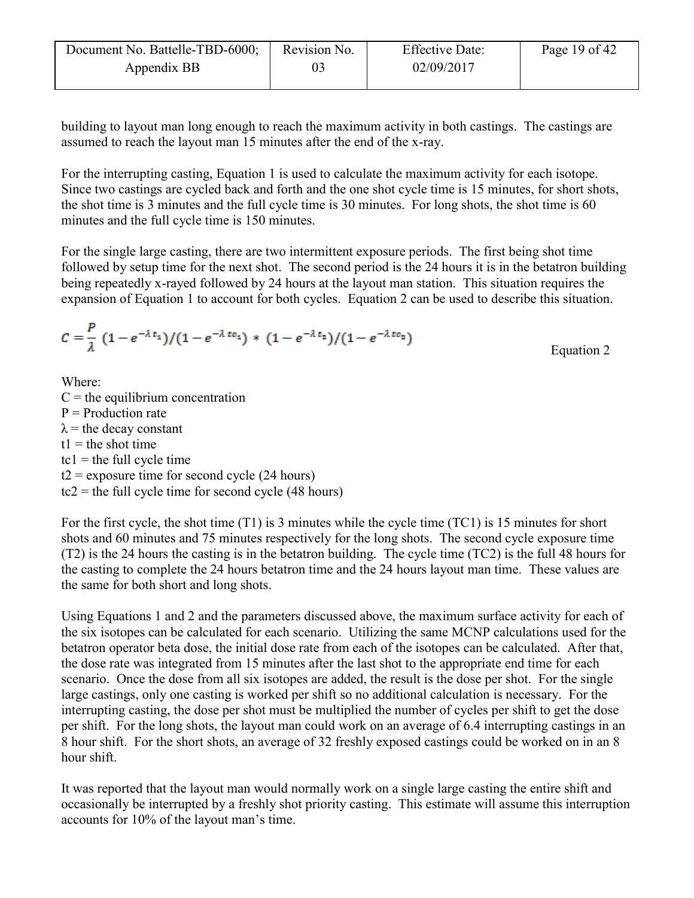| Document No. Battelle-TBD-6000; | Revision No. | <b>Effective Date:</b> | Page 19 of 42 |
|---------------------------------|--------------|------------------------|---------------|
| Appendix BB                     |              | 02/09/2017             |               |
|                                 |              |                        |               |

building to layout man long enough to reach the maximum activity in both castings. The castings are assumed to reach the layout man 15 minutes after the end of the x-ray.

For the interrupting casting, Equation 1 is used to calculate the maximum activity for each isotope. Since two castings are cycled back and forth and the one shot cycle time is 15 minutes, for short shots, the shot time is 3 minutes and the full cycle time is 30 minutes. For long shots, the shot time is 60 minutes and the full cycle time is 150 minutes.

For the single large casting, there are two intermittent exposure periods. The first being shot time followed by setup time for the next shot. The second period is the 24 hours it is in the betatron building being repeatedly x-rayed followed by 24 hours at the layout man station. This situation requires the expansion of Equation 1 to account for both cycles. Equation 2 can be used to describe this situation.

$$
C = \frac{P}{\lambda} (1 - e^{-\lambda t_1}) / (1 - e^{-\lambda t_0}) * (1 - e^{-\lambda t_2}) / (1 - e^{-\lambda t_0})
$$
Equation 2

Where:

 $C =$  the equilibrium concentration  $P =$  Production rate  $\lambda$  = the decay constant  $t1$  = the shot time  $tc1$  = the full cycle time  $t2$  = exposure time for second cycle (24 hours)  $tc2 = the full cycle time for second cycle (48 hours)$ 

For the first cycle, the shot time (T1) is 3 minutes while the cycle time (TC1) is 15 minutes for short shots and 60 minutes and 75 minutes respectively for the long shots. The second cycle exposure time (T2) is the 24 hours the casting is in the betatron building. The cycle time (TC2) is the full 48 hours for the casting to complete the 24 hours betatron time and the 24 hours layout man time. These values are the same for both short and long shots.

Using Equations 1 and 2 and the parameters discussed above, the maximum surface activity for each of the six isotopes can be calculated for each scenario. Utilizing the same MCNP calculations used for the betatron operator beta dose, the initial dose rate from each of the isotopes can be calculated. After that, the dose rate was integrated from 15 minutes after the last shot to the appropriate end time for each scenario. Once the dose from all six isotopes are added, the result is the dose per shot. For the single large castings, only one casting is worked per shift so no additional calculation is necessary. For the interrupting casting, the dose per shot must be multiplied the number of cycles per shift to get the dose per shift. For the long shots, the layout man could work on an average of 6.4 interrupting castings in an 8 hour shift. For the short shots, an average of 32 freshly exposed castings could be worked on in an 8 hour shift.

It was reported that the layout man would normally work on a single large casting the entire shift and occasionally be interrupted by a freshly shot priority casting. This estimate will assume this interruption accounts for 10% of the layout man's time.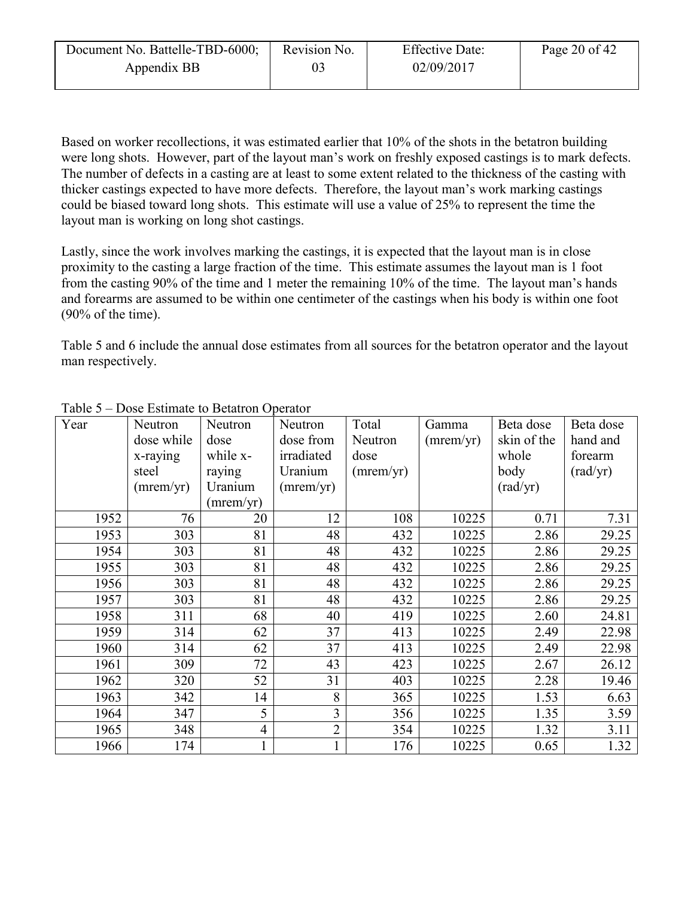| Document No. Battelle-TBD-6000; | Revision No. | <b>Effective Date:</b> | Page 20 of $42$ |
|---------------------------------|--------------|------------------------|-----------------|
| Appendix BB                     | 03           | 02/09/2017             |                 |

Based on worker recollections, it was estimated earlier that 10% of the shots in the betatron building were long shots. However, part of the layout man's work on freshly exposed castings is to mark defects. The number of defects in a casting are at least to some extent related to the thickness of the casting with thicker castings expected to have more defects. Therefore, the layout man's work marking castings could be biased toward long shots. This estimate will use a value of 25% to represent the time the layout man is working on long shot castings.

Lastly, since the work involves marking the castings, it is expected that the layout man is in close proximity to the casting a large fraction of the time. This estimate assumes the layout man is 1 foot from the casting 90% of the time and 1 meter the remaining 10% of the time. The layout man's hands and forearms are assumed to be within one centimeter of the castings when his body is within one foot (90% of the time).

Table 5 and 6 include the annual dose estimates from all sources for the betatron operator and the layout man respectively.

<span id="page-19-1"></span>

| Year | Neutron    | Neutron        | Neutron                 | Total     | Gamma     | Beta dose         | Beta dose         |
|------|------------|----------------|-------------------------|-----------|-----------|-------------------|-------------------|
|      | dose while | dose           | dose from               | Neutron   | (mrem/yr) | skin of the       | hand and          |
|      | x-raying   | while x-       | irradiated              | dose      |           | whole             | forearm           |
|      | steel      | raying         | Uranium                 | (mrem/yr) |           | body              | $\text{(rad/yr)}$ |
|      | (mrem/yr)  | Uranium        | (mrem/yr)               |           |           | $\text{(rad/yr)}$ |                   |
|      |            | (mrem/yr)      |                         |           |           |                   |                   |
| 1952 | 76         | 20             | 12                      | 108       | 10225     | 0.71              | 7.31              |
| 1953 | 303        | 81             | 48                      | 432       | 10225     | 2.86              | 29.25             |
| 1954 | 303        | 81             | 48                      | 432       | 10225     | 2.86              | 29.25             |
| 1955 | 303        | 81             | 48                      | 432       | 10225     | 2.86              | 29.25             |
| 1956 | 303        | 81             | 48                      | 432       | 10225     | 2.86              | 29.25             |
| 1957 | 303        | 81             | 48                      | 432       | 10225     | 2.86              | 29.25             |
| 1958 | 311        | 68             | 40                      | 419       | 10225     | 2.60              | 24.81             |
| 1959 | 314        | 62             | 37                      | 413       | 10225     | 2.49              | 22.98             |
| 1960 | 314        | 62             | 37                      | 413       | 10225     | 2.49              | 22.98             |
| 1961 | 309        | 72             | 43                      | 423       | 10225     | 2.67              | 26.12             |
| 1962 | 320        | 52             | 31                      | 403       | 10225     | 2.28              | 19.46             |
| 1963 | 342        | 14             | 8                       | 365       | 10225     | 1.53              | 6.63              |
| 1964 | 347        | 5              | $\overline{\mathbf{3}}$ | 356       | 10225     | 1.35              | 3.59              |
| 1965 | 348        | $\overline{4}$ | $\overline{2}$          | 354       | 10225     | 1.32              | 3.11              |
| 1966 | 174        | $\mathbf{1}$   | $\mathbf{1}$            | 176       | 10225     | 0.65              | 1.32              |

#### <span id="page-19-0"></span>Table 5 – Dose Estimate to Betatron Operator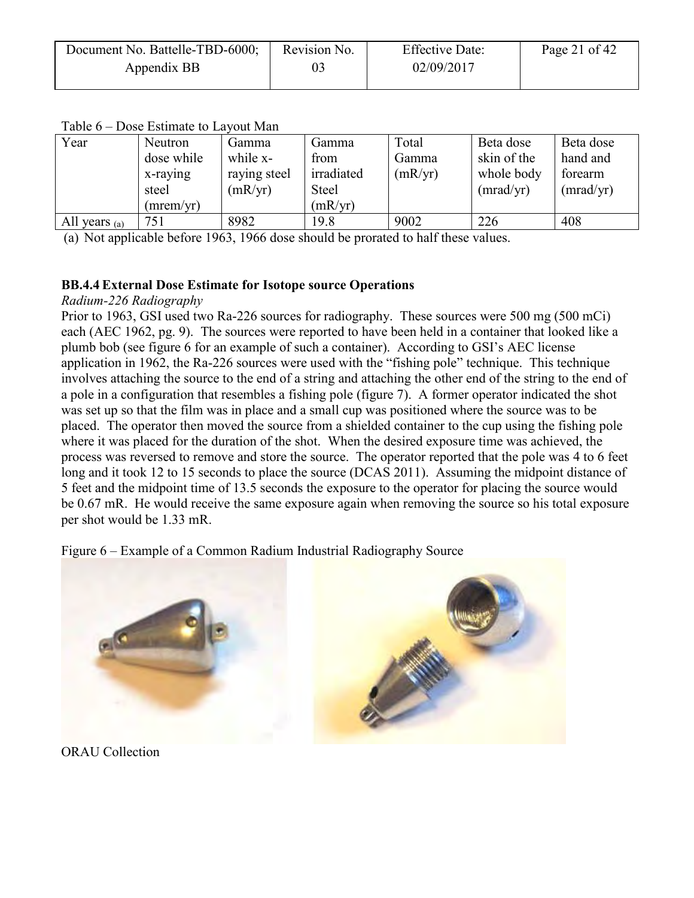| Document No. Battelle-TBD-6000; | Revision No. | <b>Effective Date:</b> | Page 21 of 42 |
|---------------------------------|--------------|------------------------|---------------|
| Appendix BB                     |              | 02/09/2017             |               |

Table 6 – Dose Estimate to Layout Man

| Year            | Neutron    | Gamma        | Gamma        | Total   | Beta dose   | Beta dose |
|-----------------|------------|--------------|--------------|---------|-------------|-----------|
|                 | dose while | while x-     | from         | Gamma   | skin of the | hand and  |
|                 | x-raying   | raying steel | irradiated   | (mR/yr) | whole body  | forearm   |
|                 | steel      | (mR/yr)      | <b>Steel</b> |         | (mrad/yr)   | (mrad/yr) |
|                 | (mrem/yr)  |              | (mR/yr)      |         |             |           |
| All years $(a)$ | 751        | 8982         | 19.8         | 9002    | 226         | 408       |
|                 |            |              |              |         |             |           |

(a) Not applicable before 1963, 1966 dose should be prorated to half these values.

### <span id="page-20-0"></span>**BB.4.4 External Dose Estimate for Isotope source Operations**

*Radium-226 Radiography* 

Prior to 1963, GSI used two Ra-226 sources for radiography. These sources were 500 mg (500 mCi) each (AEC 1962, pg. 9). The sources were reported to have been held in a container that looked like a plumb bob (see figure 6 for an example of such a container). According to GSI's AEC license application in 1962, the Ra-226 sources were used with the "fishing pole" technique. This technique involves attaching the source to the end of a string and attaching the other end of the string to the end of a pole in a configuration that resembles a fishing pole (figure 7). A former operator indicated the shot was set up so that the film was in place and a small cup was positioned where the source was to be placed. The operator then moved the source from a shielded container to the cup using the fishing pole where it was placed for the duration of the shot. When the desired exposure time was achieved, the process was reversed to remove and store the source. The operator reported that the pole was 4 to 6 feet long and it took 12 to 15 seconds to place the source (DCAS 2011). Assuming the midpoint distance of 5 feet and the midpoint time of 13.5 seconds the exposure to the operator for placing the source would be 0.67 mR. He would receive the same exposure again when removing the source so his total exposure per shot would be 1.33 mR.

<span id="page-20-1"></span>Figure 6 – Example of a Common Radium Industrial Radiography Source

![](_page_20_Picture_8.jpeg)

ORAU Collection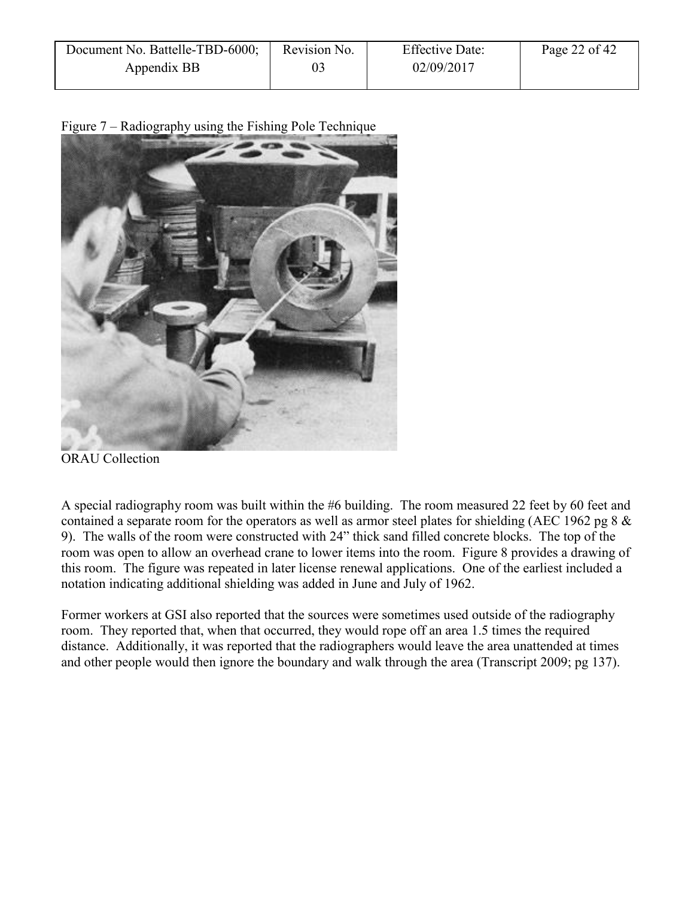| Document No. Battelle-TBD-6000; | Revision No. | <b>Effective Date:</b> | Page 22 of 42 |
|---------------------------------|--------------|------------------------|---------------|
| Appendix BB                     |              | 02/09/2017             |               |

<span id="page-21-0"></span>Figure 7 – Radiography using the Fishing Pole Technique

![](_page_21_Picture_2.jpeg)

ORAU Collection

A special radiography room was built within the #6 building. The room measured 22 feet by 60 feet and contained a separate room for the operators as well as armor steel plates for shielding (AEC 1962 pg 8 & 9). The walls of the room were constructed with 24" thick sand filled concrete blocks. The top of the room was open to allow an overhead crane to lower items into the room. Figure 8 provides a drawing of this room. The figure was repeated in later license renewal applications. One of the earliest included a notation indicating additional shielding was added in June and July of 1962.

Former workers at GSI also reported that the sources were sometimes used outside of the radiography room. They reported that, when that occurred, they would rope off an area 1.5 times the required distance. Additionally, it was reported that the radiographers would leave the area unattended at times and other people would then ignore the boundary and walk through the area (Transcript 2009; pg 137).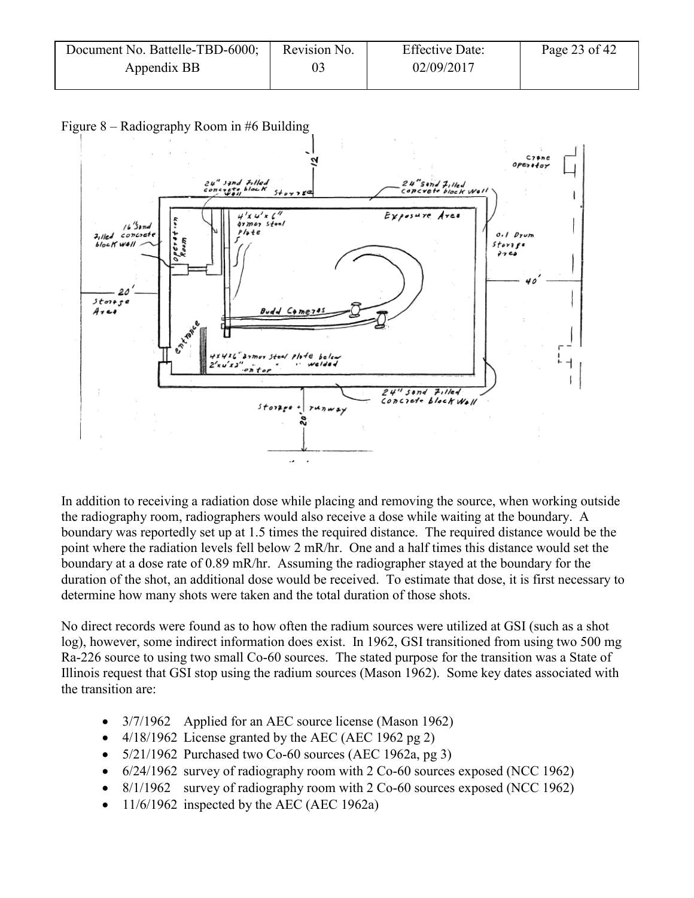| Document No. Battelle-TBD-6000; | Revision No. | <b>Effective Date:</b> | Page 23 of 42 |
|---------------------------------|--------------|------------------------|---------------|
| Appendix BB                     |              | 02/09/2017             |               |

<span id="page-22-0"></span>Figure 8 – Radiography Room in #6 Building

![](_page_22_Figure_2.jpeg)

In addition to receiving a radiation dose while placing and removing the source, when working outside the radiography room, radiographers would also receive a dose while waiting at the boundary. A boundary was reportedly set up at 1.5 times the required distance. The required distance would be the point where the radiation levels fell below 2 mR/hr. One and a half times this distance would set the boundary at a dose rate of 0.89 mR/hr. Assuming the radiographer stayed at the boundary for the duration of the shot, an additional dose would be received. To estimate that dose, it is first necessary to determine how many shots were taken and the total duration of those shots.

No direct records were found as to how often the radium sources were utilized at GSI (such as a shot log), however, some indirect information does exist. In 1962, GSI transitioned from using two 500 mg Ra-226 source to using two small Co-60 sources. The stated purpose for the transition was a State of Illinois request that GSI stop using the radium sources (Mason 1962). Some key dates associated with the transition are:

- 3/7/1962 Applied for an AEC source license (Mason 1962)
- $\bullet$  4/18/1962 License granted by the AEC (AEC 1962 pg 2)
- $\bullet$  5/21/1962 Purchased two Co-60 sources (AEC 1962a, pg 3)
- $\bullet$  6/24/1962 survey of radiography room with 2 Co-60 sources exposed (NCC 1962)
- 8/1/1962 survey of radiography room with 2 Co-60 sources exposed (NCC 1962)
- $\bullet$  11/6/1962 inspected by the AEC (AEC 1962a)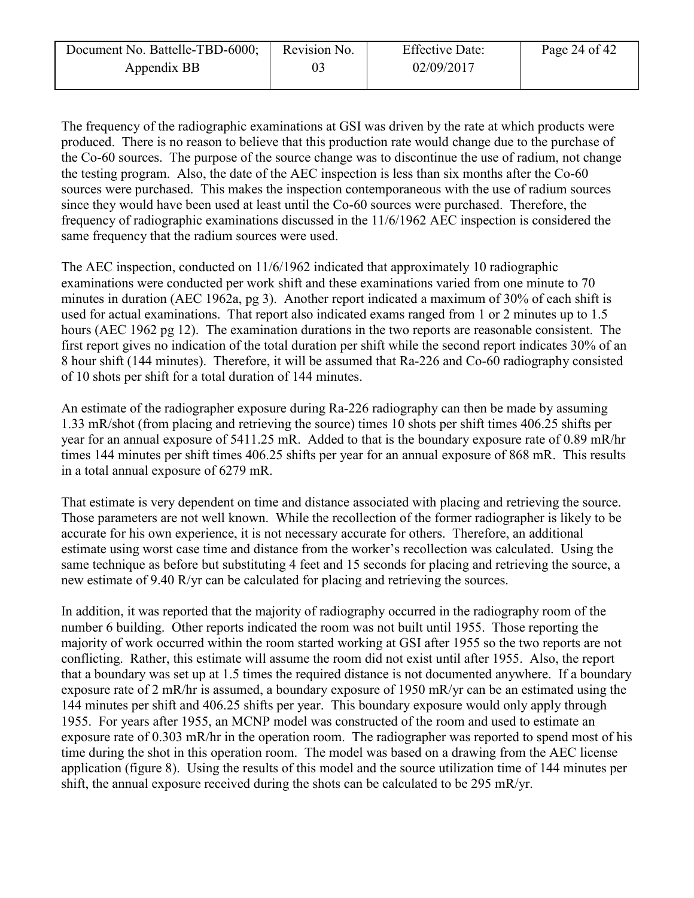| Document No. Battelle-TBD-6000; | Revision No. | <b>Effective Date:</b> | Page 24 of 42 |
|---------------------------------|--------------|------------------------|---------------|
| Appendix BB                     | 03           | 02/09/2017             |               |

The frequency of the radiographic examinations at GSI was driven by the rate at which products were produced. There is no reason to believe that this production rate would change due to the purchase of the Co-60 sources. The purpose of the source change was to discontinue the use of radium, not change the testing program. Also, the date of the AEC inspection is less than six months after the Co-60 sources were purchased. This makes the inspection contemporaneous with the use of radium sources since they would have been used at least until the Co-60 sources were purchased. Therefore, the frequency of radiographic examinations discussed in the 11/6/1962 AEC inspection is considered the same frequency that the radium sources were used.

The AEC inspection, conducted on 11/6/1962 indicated that approximately 10 radiographic examinations were conducted per work shift and these examinations varied from one minute to 70 minutes in duration (AEC 1962a, pg 3). Another report indicated a maximum of 30% of each shift is used for actual examinations. That report also indicated exams ranged from 1 or 2 minutes up to 1.5 hours (AEC 1962 pg 12). The examination durations in the two reports are reasonable consistent. The first report gives no indication of the total duration per shift while the second report indicates 30% of an 8 hour shift (144 minutes). Therefore, it will be assumed that Ra-226 and Co-60 radiography consisted of 10 shots per shift for a total duration of 144 minutes.

An estimate of the radiographer exposure during Ra-226 radiography can then be made by assuming 1.33 mR/shot (from placing and retrieving the source) times 10 shots per shift times 406.25 shifts per year for an annual exposure of 5411.25 mR. Added to that is the boundary exposure rate of 0.89 mR/hr times 144 minutes per shift times 406.25 shifts per year for an annual exposure of 868 mR. This results in a total annual exposure of 6279 mR.

That estimate is very dependent on time and distance associated with placing and retrieving the source. Those parameters are not well known. While the recollection of the former radiographer is likely to be accurate for his own experience, it is not necessary accurate for others. Therefore, an additional estimate using worst case time and distance from the worker's recollection was calculated. Using the same technique as before but substituting 4 feet and 15 seconds for placing and retrieving the source, a new estimate of 9.40 R/yr can be calculated for placing and retrieving the sources.

In addition, it was reported that the majority of radiography occurred in the radiography room of the number 6 building. Other reports indicated the room was not built until 1955. Those reporting the majority of work occurred within the room started working at GSI after 1955 so the two reports are not conflicting. Rather, this estimate will assume the room did not exist until after 1955. Also, the report that a boundary was set up at 1.5 times the required distance is not documented anywhere. If a boundary exposure rate of 2 mR/hr is assumed, a boundary exposure of 1950 mR/yr can be an estimated using the 144 minutes per shift and 406.25 shifts per year. This boundary exposure would only apply through 1955. For years after 1955, an MCNP model was constructed of the room and used to estimate an exposure rate of 0.303 mR/hr in the operation room. The radiographer was reported to spend most of his time during the shot in this operation room. The model was based on a drawing from the AEC license application (figure 8). Using the results of this model and the source utilization time of 144 minutes per shift, the annual exposure received during the shots can be calculated to be 295 mR/yr.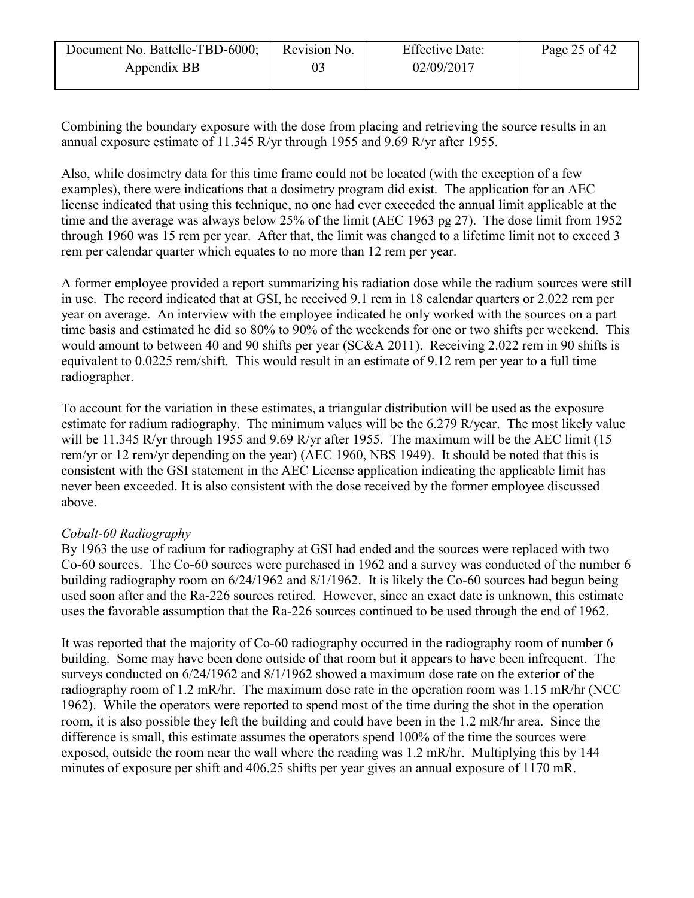| Revision No. | <b>Effective Date:</b> | Page 25 of 42 |
|--------------|------------------------|---------------|
| 03           | 02/09/2017             |               |
|              |                        |               |

Combining the boundary exposure with the dose from placing and retrieving the source results in an annual exposure estimate of 11.345 R/yr through 1955 and 9.69 R/yr after 1955.

Also, while dosimetry data for this time frame could not be located (with the exception of a few examples), there were indications that a dosimetry program did exist. The application for an AEC license indicated that using this technique, no one had ever exceeded the annual limit applicable at the time and the average was always below 25% of the limit (AEC 1963 pg 27). The dose limit from 1952 through 1960 was 15 rem per year. After that, the limit was changed to a lifetime limit not to exceed 3 rem per calendar quarter which equates to no more than 12 rem per year.

A former employee provided a report summarizing his radiation dose while the radium sources were still in use. The record indicated that at GSI, he received 9.1 rem in 18 calendar quarters or 2.022 rem per year on average. An interview with the employee indicated he only worked with the sources on a part time basis and estimated he did so 80% to 90% of the weekends for one or two shifts per weekend. This would amount to between 40 and 90 shifts per year (SC&A 2011). Receiving 2.022 rem in 90 shifts is equivalent to 0.0225 rem/shift. This would result in an estimate of 9.12 rem per year to a full time radiographer.

To account for the variation in these estimates, a triangular distribution will be used as the exposure estimate for radium radiography. The minimum values will be the 6.279 R/year. The most likely value will be 11.345 R/yr through 1955 and 9.69 R/yr after 1955. The maximum will be the AEC limit (15) rem/yr or 12 rem/yr depending on the year) (AEC 1960, NBS 1949). It should be noted that this is consistent with the GSI statement in the AEC License application indicating the applicable limit has never been exceeded. It is also consistent with the dose received by the former employee discussed above.

### *Cobalt-60 Radiography*

By 1963 the use of radium for radiography at GSI had ended and the sources were replaced with two Co-60 sources. The Co-60 sources were purchased in 1962 and a survey was conducted of the number 6 building radiography room on 6/24/1962 and 8/1/1962. It is likely the Co-60 sources had begun being used soon after and the Ra-226 sources retired. However, since an exact date is unknown, this estimate uses the favorable assumption that the Ra-226 sources continued to be used through the end of 1962.

It was reported that the majority of Co-60 radiography occurred in the radiography room of number 6 building. Some may have been done outside of that room but it appears to have been infrequent. The surveys conducted on 6/24/1962 and 8/1/1962 showed a maximum dose rate on the exterior of the radiography room of 1.2 mR/hr. The maximum dose rate in the operation room was 1.15 mR/hr (NCC 1962). While the operators were reported to spend most of the time during the shot in the operation room, it is also possible they left the building and could have been in the 1.2 mR/hr area. Since the difference is small, this estimate assumes the operators spend 100% of the time the sources were exposed, outside the room near the wall where the reading was 1.2 mR/hr. Multiplying this by 144 minutes of exposure per shift and 406.25 shifts per year gives an annual exposure of 1170 mR.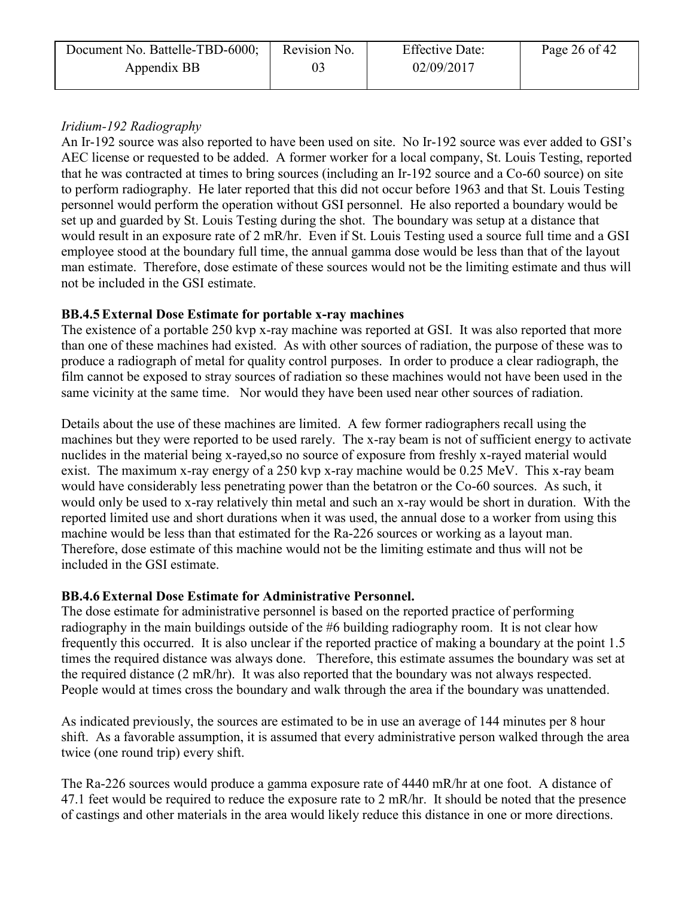| Document No. Battelle-TBD-6000; | Revision No. | <b>Effective Date:</b> | Page 26 of 42 |
|---------------------------------|--------------|------------------------|---------------|
| Appendix BB                     |              | 02/09/2017             |               |

# *Iridium-192 Radiography*

An Ir-192 source was also reported to have been used on site. No Ir-192 source was ever added to GSI's AEC license or requested to be added. A former worker for a local company, St. Louis Testing, reported that he was contracted at times to bring sources (including an Ir-192 source and a Co-60 source) on site to perform radiography. He later reported that this did not occur before 1963 and that St. Louis Testing personnel would perform the operation without GSI personnel. He also reported a boundary would be set up and guarded by St. Louis Testing during the shot. The boundary was setup at a distance that would result in an exposure rate of 2 mR/hr. Even if St. Louis Testing used a source full time and a GSI employee stood at the boundary full time, the annual gamma dose would be less than that of the layout man estimate. Therefore, dose estimate of these sources would not be the limiting estimate and thus will not be included in the GSI estimate.

### <span id="page-25-0"></span>**BB.4.5 External Dose Estimate for portable x-ray machines**

The existence of a portable 250 kvp x-ray machine was reported at GSI. It was also reported that more than one of these machines had existed. As with other sources of radiation, the purpose of these was to produce a radiograph of metal for quality control purposes. In order to produce a clear radiograph, the film cannot be exposed to stray sources of radiation so these machines would not have been used in the same vicinity at the same time. Nor would they have been used near other sources of radiation.

Details about the use of these machines are limited. A few former radiographers recall using the machines but they were reported to be used rarely. The x-ray beam is not of sufficient energy to activate nuclides in the material being x-rayed,so no source of exposure from freshly x-rayed material would exist. The maximum x-ray energy of a 250 kvp x-ray machine would be 0.25 MeV. This x-ray beam would have considerably less penetrating power than the betatron or the Co-60 sources. As such, it would only be used to x-ray relatively thin metal and such an x-ray would be short in duration. With the reported limited use and short durations when it was used, the annual dose to a worker from using this machine would be less than that estimated for the Ra-226 sources or working as a layout man. Therefore, dose estimate of this machine would not be the limiting estimate and thus will not be included in the GSI estimate.

### <span id="page-25-1"></span>**BB.4.6 External Dose Estimate for Administrative Personnel.**

The dose estimate for administrative personnel is based on the reported practice of performing radiography in the main buildings outside of the #6 building radiography room. It is not clear how frequently this occurred. It is also unclear if the reported practice of making a boundary at the point 1.5 times the required distance was always done. Therefore, this estimate assumes the boundary was set at the required distance (2 mR/hr). It was also reported that the boundary was not always respected. People would at times cross the boundary and walk through the area if the boundary was unattended.

As indicated previously, the sources are estimated to be in use an average of 144 minutes per 8 hour shift. As a favorable assumption, it is assumed that every administrative person walked through the area twice (one round trip) every shift.

The Ra-226 sources would produce a gamma exposure rate of 4440 mR/hr at one foot. A distance of 47.1 feet would be required to reduce the exposure rate to 2 mR/hr. It should be noted that the presence of castings and other materials in the area would likely reduce this distance in one or more directions.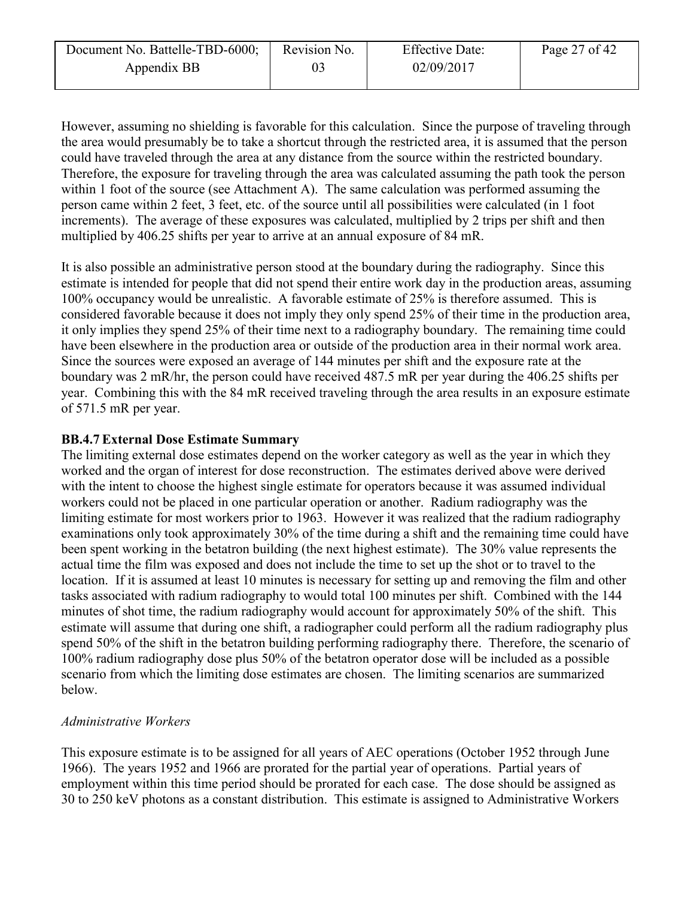| Document No. Battelle-TBD-6000; | Revision No. | <b>Effective Date:</b> | Page 27 of 42 |
|---------------------------------|--------------|------------------------|---------------|
| Appendix BB                     |              | 02/09/2017             |               |

However, assuming no shielding is favorable for this calculation. Since the purpose of traveling through the area would presumably be to take a shortcut through the restricted area, it is assumed that the person could have traveled through the area at any distance from the source within the restricted boundary. Therefore, the exposure for traveling through the area was calculated assuming the path took the person within 1 foot of the source (see Attachment A). The same calculation was performed assuming the person came within 2 feet, 3 feet, etc. of the source until all possibilities were calculated (in 1 foot increments). The average of these exposures was calculated, multiplied by 2 trips per shift and then multiplied by 406.25 shifts per year to arrive at an annual exposure of 84 mR.

It is also possible an administrative person stood at the boundary during the radiography. Since this estimate is intended for people that did not spend their entire work day in the production areas, assuming 100% occupancy would be unrealistic. A favorable estimate of 25% is therefore assumed. This is considered favorable because it does not imply they only spend 25% of their time in the production area, it only implies they spend 25% of their time next to a radiography boundary. The remaining time could have been elsewhere in the production area or outside of the production area in their normal work area. Since the sources were exposed an average of 144 minutes per shift and the exposure rate at the boundary was 2 mR/hr, the person could have received 487.5 mR per year during the 406.25 shifts per year. Combining this with the 84 mR received traveling through the area results in an exposure estimate of 571.5 mR per year.

### <span id="page-26-0"></span>**BB.4.7 External Dose Estimate Summary**

The limiting external dose estimates depend on the worker category as well as the year in which they worked and the organ of interest for dose reconstruction. The estimates derived above were derived with the intent to choose the highest single estimate for operators because it was assumed individual workers could not be placed in one particular operation or another. Radium radiography was the limiting estimate for most workers prior to 1963. However it was realized that the radium radiography examinations only took approximately 30% of the time during a shift and the remaining time could have been spent working in the betatron building (the next highest estimate). The 30% value represents the actual time the film was exposed and does not include the time to set up the shot or to travel to the location. If it is assumed at least 10 minutes is necessary for setting up and removing the film and other tasks associated with radium radiography to would total 100 minutes per shift. Combined with the 144 minutes of shot time, the radium radiography would account for approximately 50% of the shift. This estimate will assume that during one shift, a radiographer could perform all the radium radiography plus spend 50% of the shift in the betatron building performing radiography there. Therefore, the scenario of 100% radium radiography dose plus 50% of the betatron operator dose will be included as a possible scenario from which the limiting dose estimates are chosen. The limiting scenarios are summarized below.

### *Administrative Workers*

This exposure estimate is to be assigned for all years of AEC operations (October 1952 through June 1966). The years 1952 and 1966 are prorated for the partial year of operations. Partial years of employment within this time period should be prorated for each case. The dose should be assigned as 30 to 250 keV photons as a constant distribution. This estimate is assigned to Administrative Workers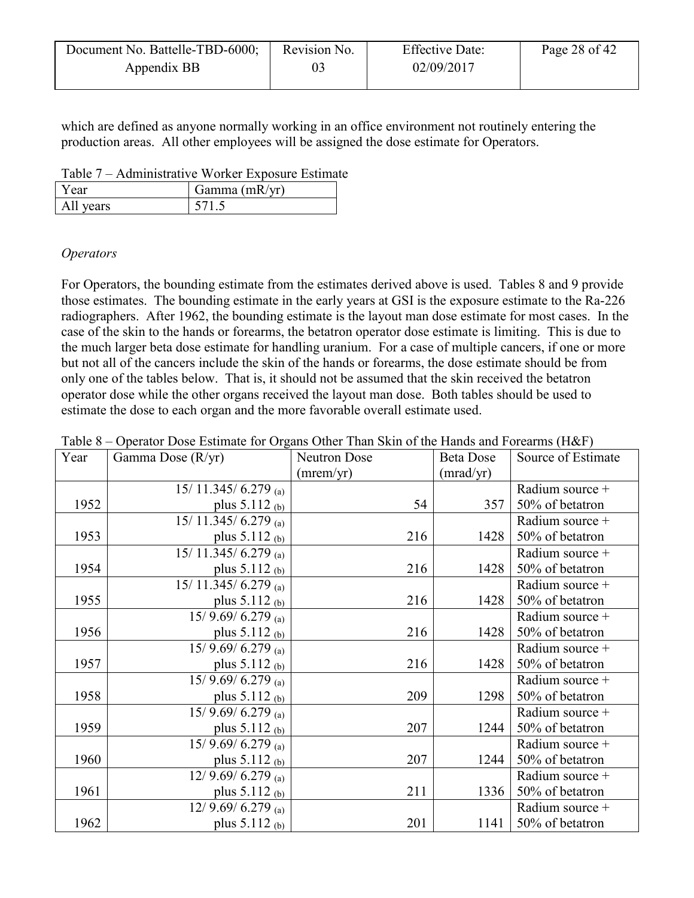| Document No. Battelle-TBD-6000; | Revision No. | <b>Effective Date:</b> | Page 28 of 42 |
|---------------------------------|--------------|------------------------|---------------|
| Appendix BB                     |              | 02/09/2017             |               |
|                                 |              |                        |               |

which are defined as anyone normally working in an office environment not routinely entering the production areas. All other employees will be assigned the dose estimate for Operators.

<span id="page-27-0"></span>Table 7 – Administrative Worker Exposure Estimate

| ∕ ear        | Gamma $(mR/yr)$ |
|--------------|-----------------|
| vears<br>All |                 |

### *Operators*

For Operators, the bounding estimate from the estimates derived above is used. Tables 8 and 9 provide those estimates. The bounding estimate in the early years at GSI is the exposure estimate to the Ra-226 radiographers. After 1962, the bounding estimate is the layout man dose estimate for most cases. In the case of the skin to the hands or forearms, the betatron operator dose estimate is limiting. This is due to the much larger beta dose estimate for handling uranium. For a case of multiple cancers, if one or more but not all of the cancers include the skin of the hands or forearms, the dose estimate should be from only one of the tables below. That is, it should not be assumed that the skin received the betatron operator dose while the other organs received the layout man dose. Both tables should be used to estimate the dose to each organ and the more favorable overall estimate used.

| Year | Gamma Dose (R/yr)          | <b>Neutron Dose</b> | <b>Beta Dose</b> | Source of Estimate |
|------|----------------------------|---------------------|------------------|--------------------|
|      |                            | (mrem/yr)           | (mrad/yr)        |                    |
|      | 15/11.345/6.279 (a)        |                     |                  | Radium source +    |
| 1952 | plus $5.112_{\text{ (b)}}$ | 54                  | 357              | 50% of betatron    |
|      | 15/11.345/6.279 (a)        |                     |                  | Radium source +    |
| 1953 | plus $5.112_{(b)}$         | 216                 | 1428             | 50% of betatron    |
|      | 15/11.345/6.279 (a)        |                     |                  | Radium source +    |
| 1954 | plus $5.112_{(b)}$         | 216                 | 1428             | 50% of betatron    |
|      | 15/11.345/6.279 (a)        |                     |                  | Radium source +    |
| 1955 | plus $5.112$ (b)           | 216                 | 1428             | 50% of betatron    |
|      | 15/ 9.69/ 6.279 (a)        |                     |                  | Radium source +    |
| 1956 | plus $5.112$ (b)           | 216                 | 1428             | 50% of betatron    |
|      | 15/ 9.69/ 6.279 (a)        |                     |                  | Radium source +    |
| 1957 | plus $5.112_{(b)}$         | 216                 | 1428             | 50% of betatron    |
|      | 15/9.69/6.279 (a)          |                     |                  | Radium source +    |
| 1958 | plus $5.112_{(b)}$         | 209                 | 1298             | 50% of betatron    |
|      | 15/ 9.69/ 6.279 (a)        |                     |                  | Radium source +    |
| 1959 | plus $5.112_{\text{ (b)}}$ | 207                 | 1244             | 50% of betatron    |
|      | 15/ 9.69/ 6.279 (a)        |                     |                  | Radium source +    |
| 1960 | plus $5.112_{\text{ (b)}}$ | 207                 | 1244             | 50% of betatron    |
|      | 12/ 9.69/ 6.279 (a)        |                     |                  | Radium source +    |
| 1961 | plus $5.112_{(b)}$         | 211                 | 1336             | 50% of betatron    |
|      | 12/ 9.69/ 6.279 (a)        |                     |                  | Radium source +    |
| 1962 | plus $5.112_{(b)}$         | 201                 | 1141             | 50% of betatron    |

<span id="page-27-1"></span>Table 8 – Operator Dose Estimate for Organs Other Than Skin of the Hands and Forearms (H&F)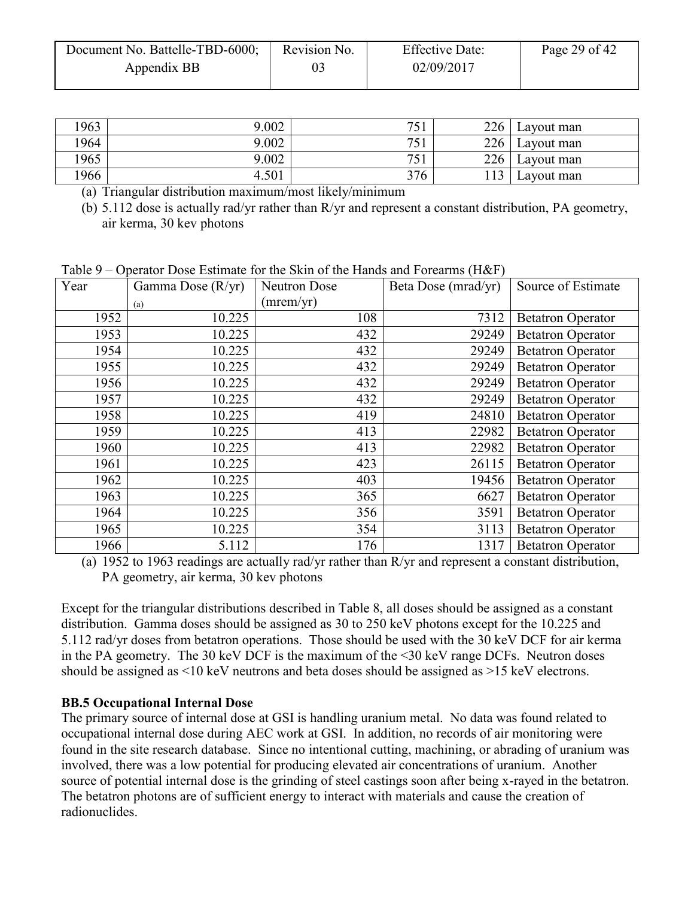| Document No. Battelle-TBD-6000; | Revision No. | <b>Effective Date:</b> | Page 29 of 42 |
|---------------------------------|--------------|------------------------|---------------|
| Appendix BB                     |              | 02/09/2017             |               |

| 963  | 9.002 | 751<br>IJΙ | 226 | Lavout man |
|------|-------|------------|-----|------------|
| 964  | 9.002 | 751        | 226 | Lavout man |
| 1965 | 9.002 | 751        | 226 | Lavout man |
| 966  | 4.501 | 376        | 113 | Layout man |

(a) Triangular distribution maximum/most likely/minimum

(b) 5.112 dose is actually rad/yr rather than R/yr and represent a constant distribution, PA geometry, air kerma, 30 kev photons

| r aviv s<br>Operator Dose Estimate for the SKIII of the Francis and Forearms (Free ) |                   |                     |                     |                          |
|--------------------------------------------------------------------------------------|-------------------|---------------------|---------------------|--------------------------|
| Year                                                                                 | Gamma Dose (R/yr) | <b>Neutron Dose</b> | Beta Dose (mrad/yr) | Source of Estimate       |
|                                                                                      | (a)               | (mrem/yr)           |                     |                          |
| 1952                                                                                 | 10.225            | 108                 | 7312                | <b>Betatron Operator</b> |
| 1953                                                                                 | 10.225            | 432                 | 29249               | <b>Betatron Operator</b> |
| 1954                                                                                 | 10.225            | 432                 | 29249               | <b>Betatron Operator</b> |
| 1955                                                                                 | 10.225            | 432                 | 29249               | <b>Betatron Operator</b> |
| 1956                                                                                 | 10.225            | 432                 | 29249               | <b>Betatron Operator</b> |
| 1957                                                                                 | 10.225            | 432                 | 29249               | <b>Betatron Operator</b> |
| 1958                                                                                 | 10.225            | 419                 | 24810               | <b>Betatron Operator</b> |
| 1959                                                                                 | 10.225            | 413                 | 22982               | <b>Betatron Operator</b> |
| 1960                                                                                 | 10.225            | 413                 | 22982               | <b>Betatron Operator</b> |
| 1961                                                                                 | 10.225            | 423                 | 26115               | <b>Betatron Operator</b> |
| 1962                                                                                 | 10.225            | 403                 | 19456               | <b>Betatron Operator</b> |
| 1963                                                                                 | 10.225            | 365                 | 6627                | <b>Betatron Operator</b> |
| 1964                                                                                 | 10.225            | 356                 | 3591                | <b>Betatron Operator</b> |
| 1965                                                                                 | 10.225            | 354                 | 3113                | <b>Betatron Operator</b> |
| 1966                                                                                 | 5.112             | 176                 | 1317                | <b>Betatron Operator</b> |

<span id="page-28-1"></span>Table 9 – Operator Dose Estimate for the Skin of the Hands and Forearms  $(H \& F)$ 

(a) 1952 to 1963 readings are actually rad/yr rather than R/yr and represent a constant distribution, PA geometry, air kerma, 30 kev photons

Except for the triangular distributions described in Table 8, all doses should be assigned as a constant distribution. Gamma doses should be assigned as 30 to 250 keV photons except for the 10.225 and 5.112 rad/yr doses from betatron operations. Those should be used with the 30 keV DCF for air kerma in the PA geometry. The 30 keV DCF is the maximum of the <30 keV range DCFs. Neutron doses should be assigned as <10 keV neutrons and beta doses should be assigned as >15 keV electrons.

### <span id="page-28-0"></span>**BB.5 Occupational Internal Dose**

The primary source of internal dose at GSI is handling uranium metal. No data was found related to occupational internal dose during AEC work at GSI. In addition, no records of air monitoring were found in the site research database. Since no intentional cutting, machining, or abrading of uranium was involved, there was a low potential for producing elevated air concentrations of uranium. Another source of potential internal dose is the grinding of steel castings soon after being x-rayed in the betatron. The betatron photons are of sufficient energy to interact with materials and cause the creation of radionuclides.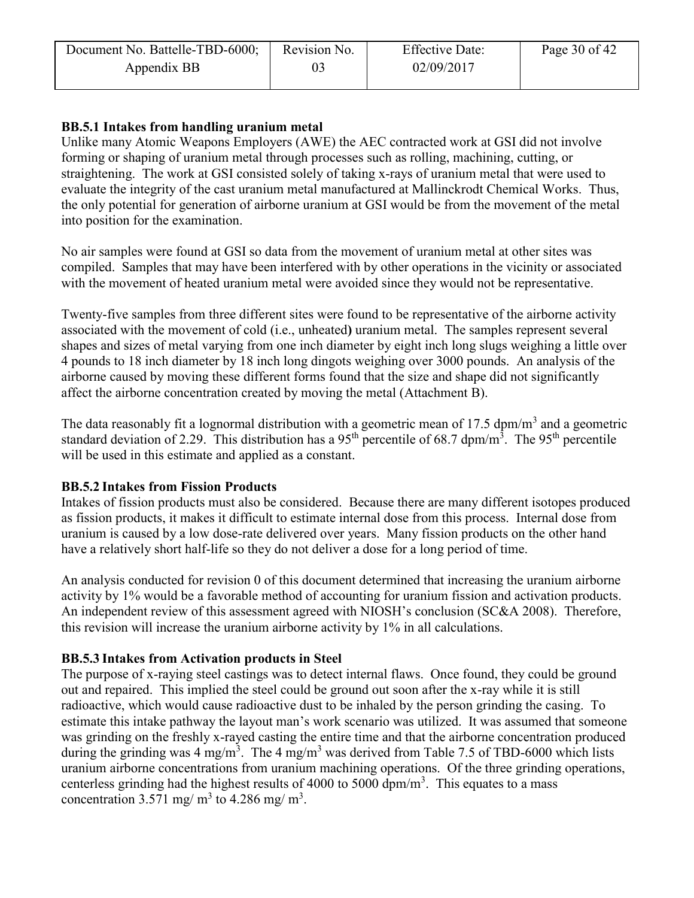| Document No. Battelle-TBD-6000; | Revision No. | <b>Effective Date:</b> | Page 30 of 42 |
|---------------------------------|--------------|------------------------|---------------|
| Appendix BB                     |              | 02/09/2017             |               |

### <span id="page-29-0"></span>**BB.5.1 Intakes from handling uranium metal**

Unlike many Atomic Weapons Employers (AWE) the AEC contracted work at GSI did not involve forming or shaping of uranium metal through processes such as rolling, machining, cutting, or straightening. The work at GSI consisted solely of taking x-rays of uranium metal that were used to evaluate the integrity of the cast uranium metal manufactured at Mallinckrodt Chemical Works. Thus, the only potential for generation of airborne uranium at GSI would be from the movement of the metal into position for the examination.

No air samples were found at GSI so data from the movement of uranium metal at other sites was compiled. Samples that may have been interfered with by other operations in the vicinity or associated with the movement of heated uranium metal were avoided since they would not be representative.

Twenty-five samples from three different sites were found to be representative of the airborne activity associated with the movement of cold (i.e., unheated**)** uranium metal. The samples represent several shapes and sizes of metal varying from one inch diameter by eight inch long slugs weighing a little over 4 pounds to 18 inch diameter by 18 inch long dingots weighing over 3000 pounds. An analysis of the airborne caused by moving these different forms found that the size and shape did not significantly affect the airborne concentration created by moving the metal (Attachment B).

The data reasonably fit a lognormal distribution with a geometric mean of 17.5  $dpm/m<sup>3</sup>$  and a geometric standard deviation of 2.29. This distribution has a 95<sup>th</sup> percentile of 68.7 dpm/m<sup>3</sup>. The 95<sup>th</sup> percentile will be used in this estimate and applied as a constant.

### <span id="page-29-1"></span>**BB.5.2 Intakes from Fission Products**

Intakes of fission products must also be considered. Because there are many different isotopes produced as fission products, it makes it difficult to estimate internal dose from this process. Internal dose from uranium is caused by a low dose-rate delivered over years. Many fission products on the other hand have a relatively short half-life so they do not deliver a dose for a long period of time.

An analysis conducted for revision 0 of this document determined that increasing the uranium airborne activity by 1% would be a favorable method of accounting for uranium fission and activation products. An independent review of this assessment agreed with NIOSH's conclusion (SC&A 2008). Therefore, this revision will increase the uranium airborne activity by 1% in all calculations.

### <span id="page-29-2"></span>**BB.5.3 Intakes from Activation products in Steel**

The purpose of x-raying steel castings was to detect internal flaws. Once found, they could be ground out and repaired. This implied the steel could be ground out soon after the x-ray while it is still radioactive, which would cause radioactive dust to be inhaled by the person grinding the casing. To estimate this intake pathway the layout man's work scenario was utilized. It was assumed that someone was grinding on the freshly x-rayed casting the entire time and that the airborne concentration produced during the grinding was 4 mg/m<sup>3</sup>. The 4 mg/m<sup>3</sup> was derived from Table 7.5 of TBD-6000 which lists uranium airborne concentrations from uranium machining operations. Of the three grinding operations, centerless grinding had the highest results of 4000 to 5000  $dpm/m<sup>3</sup>$ . This equates to a mass concentration 3.571 mg/  $m^3$  to 4.286 mg/  $m^3$ .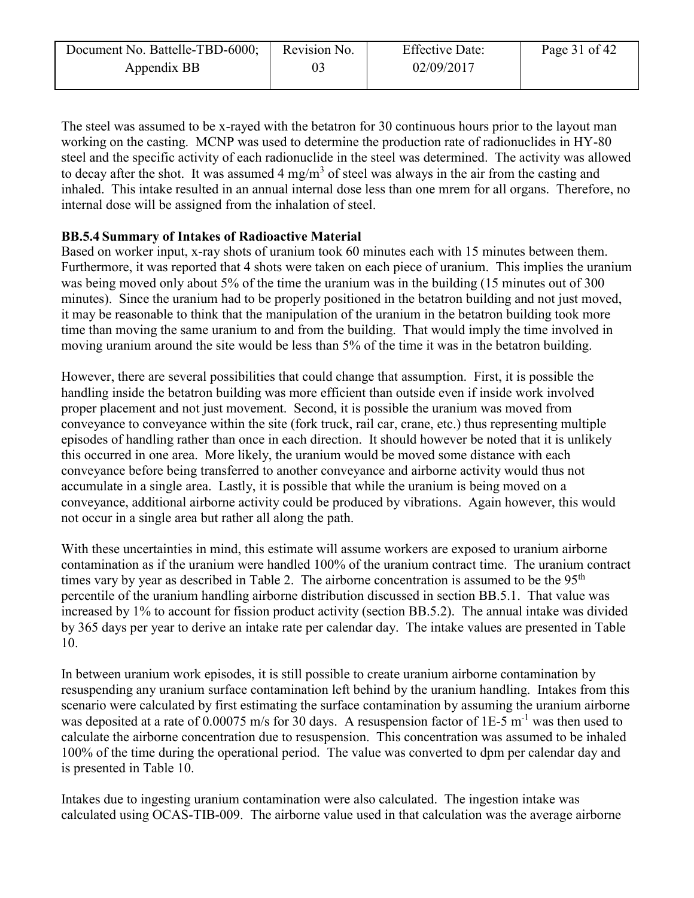| Document No. Battelle-TBD-6000; | Revision No. | <b>Effective Date:</b> | Page 31 of $42$ |
|---------------------------------|--------------|------------------------|-----------------|
| Appendix BB                     |              | 02/09/2017             |                 |

The steel was assumed to be x-rayed with the betatron for 30 continuous hours prior to the layout man working on the casting. MCNP was used to determine the production rate of radionuclides in HY-80 steel and the specific activity of each radionuclide in the steel was determined. The activity was allowed to decay after the shot. It was assumed  $4 \text{ mg/m}^3$  of steel was always in the air from the casting and inhaled. This intake resulted in an annual internal dose less than one mrem for all organs. Therefore, no internal dose will be assigned from the inhalation of steel.

### <span id="page-30-0"></span>**BB.5.4 Summary of Intakes of Radioactive Material**

Based on worker input, x-ray shots of uranium took 60 minutes each with 15 minutes between them. Furthermore, it was reported that 4 shots were taken on each piece of uranium. This implies the uranium was being moved only about 5% of the time the uranium was in the building (15 minutes out of 300 minutes). Since the uranium had to be properly positioned in the betatron building and not just moved, it may be reasonable to think that the manipulation of the uranium in the betatron building took more time than moving the same uranium to and from the building. That would imply the time involved in moving uranium around the site would be less than 5% of the time it was in the betatron building.

However, there are several possibilities that could change that assumption. First, it is possible the handling inside the betatron building was more efficient than outside even if inside work involved proper placement and not just movement. Second, it is possible the uranium was moved from conveyance to conveyance within the site (fork truck, rail car, crane, etc.) thus representing multiple episodes of handling rather than once in each direction. It should however be noted that it is unlikely this occurred in one area. More likely, the uranium would be moved some distance with each conveyance before being transferred to another conveyance and airborne activity would thus not accumulate in a single area. Lastly, it is possible that while the uranium is being moved on a conveyance, additional airborne activity could be produced by vibrations. Again however, this would not occur in a single area but rather all along the path.

With these uncertainties in mind, this estimate will assume workers are exposed to uranium airborne contamination as if the uranium were handled 100% of the uranium contract time. The uranium contract times vary by year as described in Table 2. The airborne concentration is assumed to be the 95<sup>th</sup> percentile of the uranium handling airborne distribution discussed in section BB.5.1. That value was increased by 1% to account for fission product activity (section BB.5.2). The annual intake was divided by 365 days per year to derive an intake rate per calendar day. The intake values are presented in Table 10.

In between uranium work episodes, it is still possible to create uranium airborne contamination by resuspending any uranium surface contamination left behind by the uranium handling. Intakes from this scenario were calculated by first estimating the surface contamination by assuming the uranium airborne was deposited at a rate of 0.00075 m/s for 30 days. A resuspension factor of  $1E-5$  m<sup>-1</sup> was then used to calculate the airborne concentration due to resuspension. This concentration was assumed to be inhaled 100% of the time during the operational period. The value was converted to dpm per calendar day and is presented in Table 10.

Intakes due to ingesting uranium contamination were also calculated. The ingestion intake was calculated using OCAS-TIB-009. The airborne value used in that calculation was the average airborne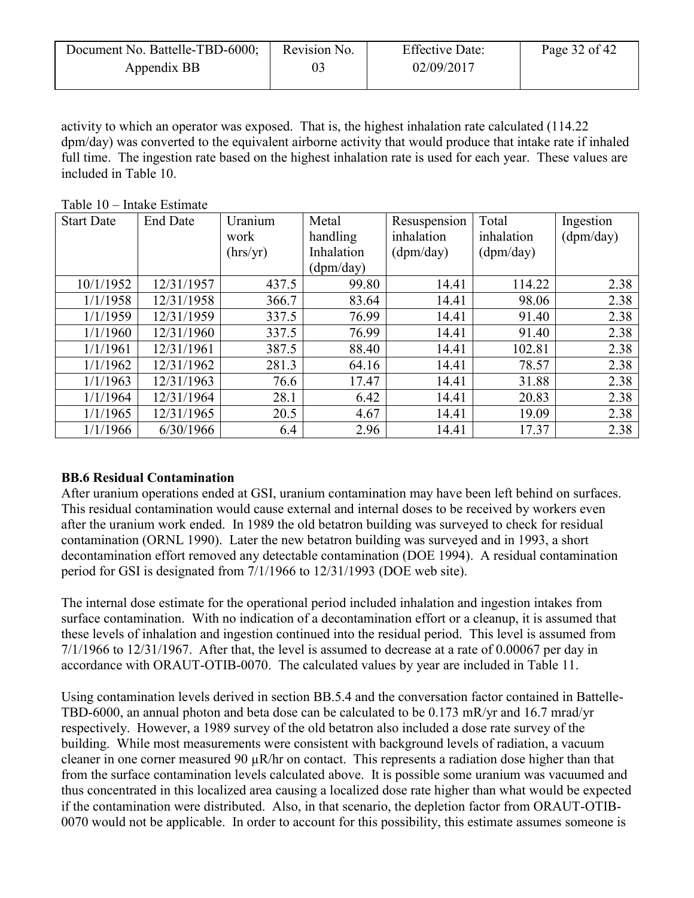| Document No. Battelle-TBD-6000; | Revision No. | <b>Effective Date:</b> | Page 32 of 42 |
|---------------------------------|--------------|------------------------|---------------|
| Appendix BB                     | 03           | 02/09/2017             |               |

activity to which an operator was exposed. That is, the highest inhalation rate calculated (114.22 dpm/day) was converted to the equivalent airborne activity that would produce that intake rate if inhaled full time. The ingestion rate based on the highest inhalation rate is used for each year. These values are included in Table 10.

Start Date End Date Uranium work (hrs/yr) Metal handling Inhalation (dpm/day) Resuspension inhalation (dpm/day) Total inhalation (dpm/day) Ingestion (dpm/day) 10/1/1952 12/31/1957 437.5 99.80 14.41 114.22 2.38 1/1/1958 12/31/1958 366.7 83.64 14.41 98.06 2.38  $1/1/1959$   $12/31/1959$   $337.5$   $76.99$   $14.41$   $91.40$   $2.38$  $1/1/1960$   $12/31/1960$   $337.5$   $76.99$   $14.41$  91.40 2.38 1/1/1961 12/31/1961 387.5 88.40 14.41 102.81 2.38 1/1/1962 12/31/1962 281.3 64.16 14.41 78.57 2.38 1/1/1963 12/31/1963 76.6 17.47 14.41 31.88 2.38 1/1/1964 12/31/1964 28.1 6.42 14.41 20.83 2.38 1/1/1965 12/31/1965 20.5 4.67 14.41 19.09 2.38 1/1/1966 6/30/1966 6.4 2.96 14.41 17.37 2.38

<span id="page-31-1"></span>Table 10 – Intake Estimate

# <span id="page-31-0"></span>**BB.6 Residual Contamination**

After uranium operations ended at GSI, uranium contamination may have been left behind on surfaces. This residual contamination would cause external and internal doses to be received by workers even after the uranium work ended. In 1989 the old betatron building was surveyed to check for residual contamination (ORNL 1990). Later the new betatron building was surveyed and in 1993, a short decontamination effort removed any detectable contamination (DOE 1994). A residual contamination period for GSI is designated from 7/1/1966 to 12/31/1993 (DOE web site).

The internal dose estimate for the operational period included inhalation and ingestion intakes from surface contamination. With no indication of a decontamination effort or a cleanup, it is assumed that these levels of inhalation and ingestion continued into the residual period. This level is assumed from 7/1/1966 to 12/31/1967. After that, the level is assumed to decrease at a rate of 0.00067 per day in accordance with ORAUT-OTIB-0070. The calculated values by year are included in Table 11.

Using contamination levels derived in section BB.5.4 and the conversation factor contained in Battelle-TBD-6000, an annual photon and beta dose can be calculated to be 0.173 mR/yr and 16.7 mrad/yr respectively. However, a 1989 survey of the old betatron also included a dose rate survey of the building. While most measurements were consistent with background levels of radiation, a vacuum cleaner in one corner measured 90  $\mu$ R/hr on contact. This represents a radiation dose higher than that from the surface contamination levels calculated above. It is possible some uranium was vacuumed and thus concentrated in this localized area causing a localized dose rate higher than what would be expected if the contamination were distributed. Also, in that scenario, the depletion factor from ORAUT-OTIB-0070 would not be applicable. In order to account for this possibility, this estimate assumes someone is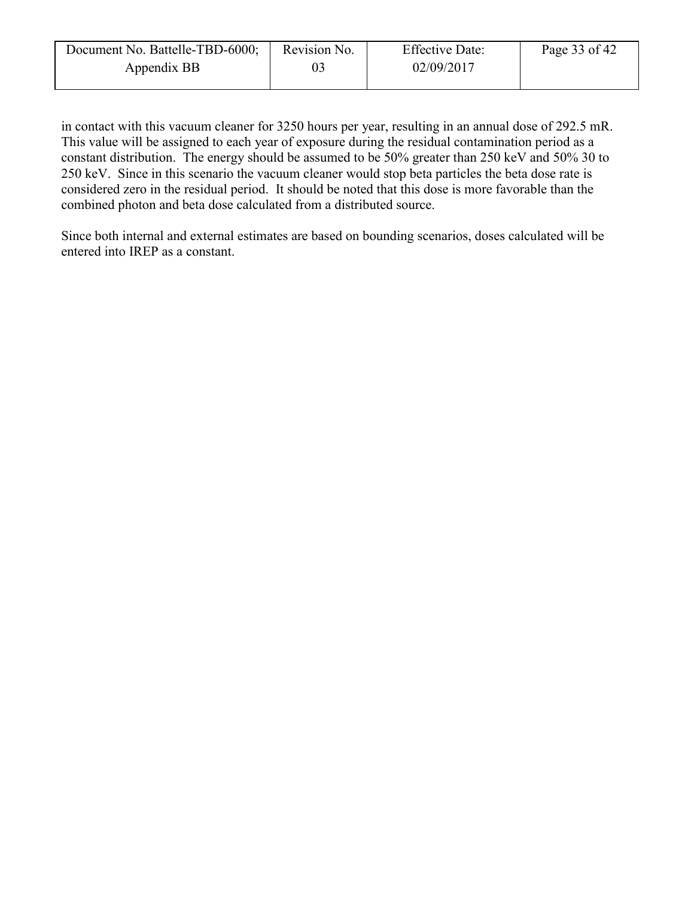| Document No. Battelle-TBD-6000; | Revision No. | <b>Effective Date:</b> | Page 33 of 42 |
|---------------------------------|--------------|------------------------|---------------|
| Appendix BB                     |              | 02/09/2017             |               |

in contact with this vacuum cleaner for 3250 hours per year, resulting in an annual dose of 292.5 mR. This value will be assigned to each year of exposure during the residual contamination period as a constant distribution. The energy should be assumed to be 50% greater than 250 keV and 50% 30 to 250 keV. Since in this scenario the vacuum cleaner would stop beta particles the beta dose rate is considered zero in the residual period. It should be noted that this dose is more favorable than the combined photon and beta dose calculated from a distributed source.

<span id="page-32-0"></span>Since both internal and external estimates are based on bounding scenarios, doses calculated will be entered into IREP as a constant.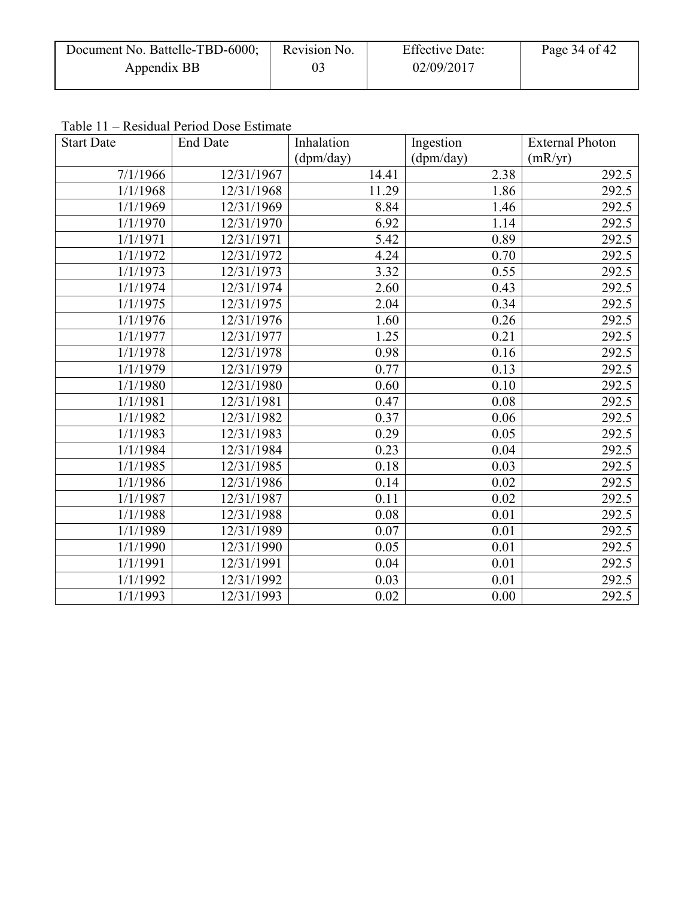| Document No. Battelle-TBD-6000; | Revision No. | <b>Effective Date:</b> | Page 34 of 42 |
|---------------------------------|--------------|------------------------|---------------|
| Appendix BB                     |              | 02/09/2017             |               |
|                                 |              |                        |               |

Table 11 – Residual Period Dose Estimate

<span id="page-33-0"></span>

| <b>Start Date</b> | <b>End Date</b> | Inhalation | Ingestion | <b>External Photon</b> |
|-------------------|-----------------|------------|-----------|------------------------|
|                   |                 | (dpm/day)  | (dpm/day) | (mR/yr)                |
| 7/1/1966          | 12/31/1967      | 14.41      | 2.38      | 292.5                  |
| 1/1/1968          | 12/31/1968      | 11.29      | 1.86      | 292.5                  |
| 1/1/1969          | 12/31/1969      | 8.84       | 1.46      | 292.5                  |
| 1/1/1970          | 12/31/1970      | 6.92       | 1.14      | 292.5                  |
| 1/1/1971          | 12/31/1971      | 5.42       | 0.89      | 292.5                  |
| 1/1/1972          | 12/31/1972      | 4.24       | 0.70      | 292.5                  |
| 1/1/1973          | 12/31/1973      | 3.32       | 0.55      | 292.5                  |
| 1/1/1974          | 12/31/1974      | 2.60       | 0.43      | 292.5                  |
| 1/1/1975          | 12/31/1975      | 2.04       | 0.34      | 292.5                  |
| 1/1/1976          | 12/31/1976      | 1.60       | 0.26      | 292.5                  |
| 1/1/1977          | 12/31/1977      | 1.25       | 0.21      | 292.5                  |
| 1/1/1978          | 12/31/1978      | 0.98       | 0.16      | $\overline{292.5}$     |
| 1/1/1979          | 12/31/1979      | 0.77       | 0.13      | 292.5                  |
| 1/1/1980          | 12/31/1980      | 0.60       | 0.10      | 292.5                  |
| 1/1/1981          | 12/31/1981      | 0.47       | 0.08      | 292.5                  |
| 1/1/1982          | 12/31/1982      | 0.37       | 0.06      | 292.5                  |
| 1/1/1983          | 12/31/1983      | 0.29       | 0.05      | $\overline{292.5}$     |
| 1/1/1984          | 12/31/1984      | 0.23       | 0.04      | 292.5                  |
| 1/1/1985          | 12/31/1985      | 0.18       | 0.03      | $\overline{292.5}$     |
| 1/1/1986          | 12/31/1986      | 0.14       | 0.02      | 292.5                  |
| 1/1/1987          | 12/31/1987      | 0.11       | 0.02      | 292.5                  |
| 1/1/1988          | 12/31/1988      | 0.08       | 0.01      | 292.5                  |
| 1/1/1989          | 12/31/1989      | 0.07       | 0.01      | 292.5                  |
| 1/1/1990          | 12/31/1990      | 0.05       | 0.01      | $\overline{292.5}$     |
| 1/1/1991          | 12/31/1991      | 0.04       | 0.01      | 292.5                  |
| 1/1/1992          | 12/31/1992      | 0.03       | 0.01      | 292.5                  |
| 1/1/1993          | 12/31/1993      | 0.02       | 0.00      | 292.5                  |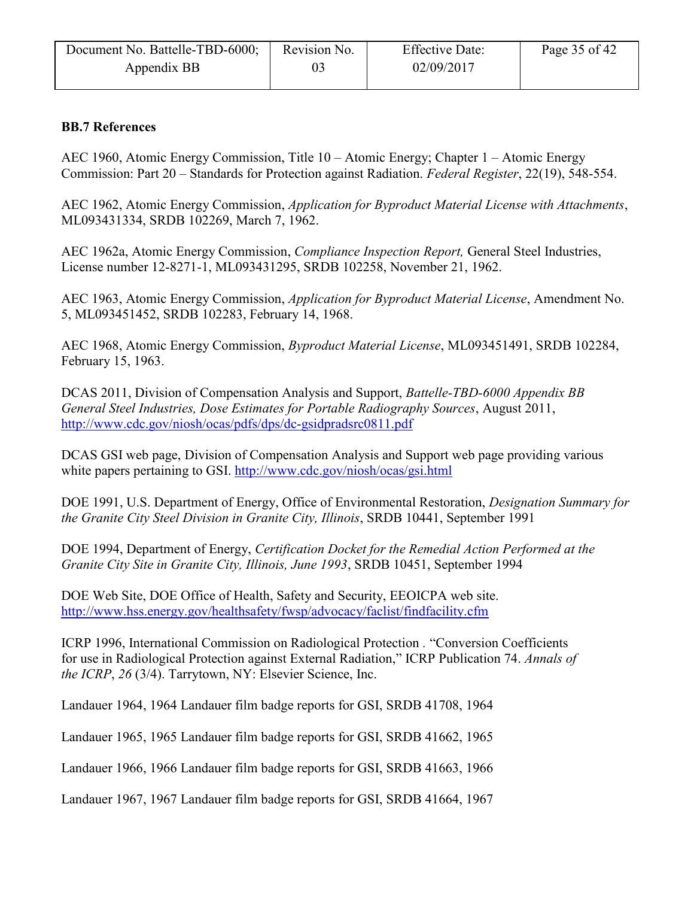| Document No. Battelle-TBD-6000; | Revision No. | <b>Effective Date:</b> | Page 35 of 42 |
|---------------------------------|--------------|------------------------|---------------|
| Appendix BB                     |              | 02/09/2017             |               |

#### **BB.7 References**

AEC 1960, Atomic Energy Commission, Title 10 – Atomic Energy; Chapter 1 – Atomic Energy Commission: Part 20 – Standards for Protection against Radiation. *Federal Register*, 22(19), 548-554.

AEC 1962, Atomic Energy Commission, *Application for Byproduct Material License with Attachments*, ML093431334, SRDB 102269, March 7, 1962.

AEC 1962a, Atomic Energy Commission, *Compliance Inspection Report,* General Steel Industries, License number 12-8271-1, ML093431295, SRDB 102258, November 21, 1962.

AEC 1963, Atomic Energy Commission, *Application for Byproduct Material License*, Amendment No. 5, ML093451452, SRDB 102283, February 14, 1968.

AEC 1968, Atomic Energy Commission, *Byproduct Material License*, ML093451491, SRDB 102284, February 15, 1963.

DCAS 2011, Division of Compensation Analysis and Support, *Battelle-TBD-6000 Appendix BB General Steel Industries, Dose Estimates for Portable Radiography Sources*, August 2011, <http://www.cdc.gov/niosh/ocas/pdfs/dps/dc-gsidpradsrc0811.pdf>

DCAS GSI web page, Division of Compensation Analysis and Support web page providing various white papers pertaining to GSI.<http://www.cdc.gov/niosh/ocas/gsi.html>

DOE 1991, U.S. Department of Energy, Office of Environmental Restoration, *Designation Summary for the Granite City Steel Division in Granite City, Illinois*, SRDB 10441, September 1991

DOE 1994, Department of Energy, *Certification Docket for the Remedial Action Performed at the Granite City Site in Granite City, Illinois, June 1993*, SRDB 10451, September 1994

DOE Web Site, DOE Office of Health, Safety and Security, EEOICPA web site. <http://www.hss.energy.gov/healthsafety/fwsp/advocacy/faclist/findfacility.cfm>

ICRP 1996, International Commission on Radiological Protection *.* "Conversion Coefficients for use in Radiological Protection against External Radiation," ICRP Publication 74. *Annals of the ICRP*, *26* (3/4). Tarrytown, NY: Elsevier Science, Inc.

Landauer 1964, 1964 Landauer film badge reports for GSI, SRDB 41708, 1964

Landauer 1965, 1965 Landauer film badge reports for GSI, SRDB 41662, 1965

Landauer 1966, 1966 Landauer film badge reports for GSI, SRDB 41663, 1966

Landauer 1967, 1967 Landauer film badge reports for GSI, SRDB 41664, 1967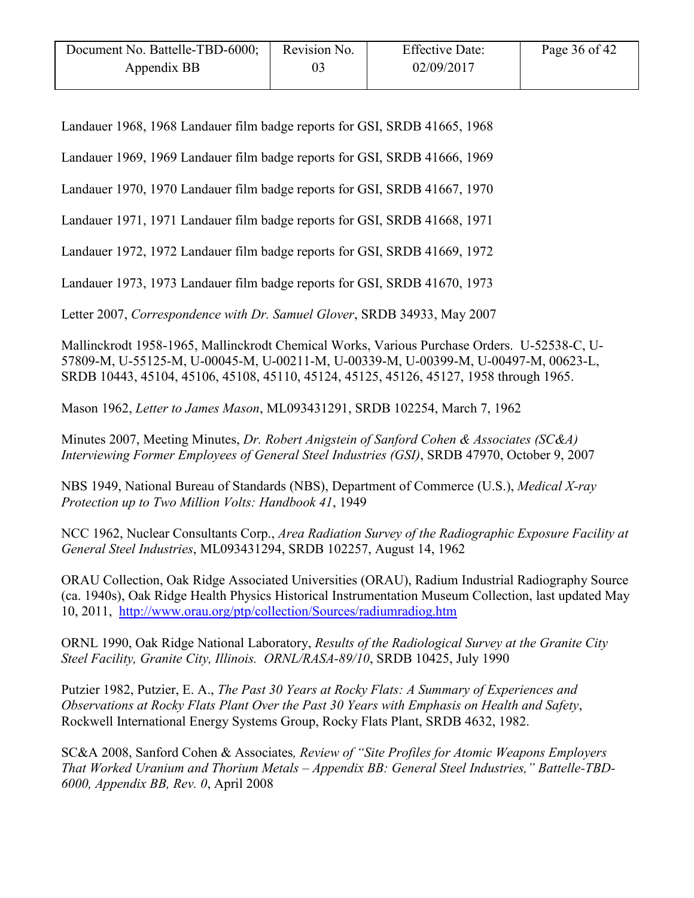| Document No. Battelle-TBD-6000; | Revision No. | <b>Effective Date:</b> | Page 36 of 42 |
|---------------------------------|--------------|------------------------|---------------|
| Appendix BB                     | 03           | 02/09/2017             |               |

Landauer 1968, 1968 Landauer film badge reports for GSI, SRDB 41665, 1968

Landauer 1969, 1969 Landauer film badge reports for GSI, SRDB 41666, 1969

Landauer 1970, 1970 Landauer film badge reports for GSI, SRDB 41667, 1970

Landauer 1971, 1971 Landauer film badge reports for GSI, SRDB 41668, 1971

Landauer 1972, 1972 Landauer film badge reports for GSI, SRDB 41669, 1972

Landauer 1973, 1973 Landauer film badge reports for GSI, SRDB 41670, 1973

Letter 2007, *Correspondence with Dr. Samuel Glover*, SRDB 34933, May 2007

Mallinckrodt 1958-1965, Mallinckrodt Chemical Works, Various Purchase Orders. U-52538-C, U-57809-M, U-55125-M, U-00045-M, U-00211-M, U-00339-M, U-00399-M, U-00497-M, 00623-L, SRDB 10443, 45104, 45106, 45108, 45110, 45124, 45125, 45126, 45127, 1958 through 1965.

Mason 1962, *Letter to James Mason*, ML093431291, SRDB 102254, March 7, 1962

Minutes 2007, Meeting Minutes, *Dr. Robert Anigstein of Sanford Cohen & Associates (SC&A) Interviewing Former Employees of General Steel Industries (GSI)*, SRDB 47970, October 9, 2007

NBS 1949, National Bureau of Standards (NBS), Department of Commerce (U.S.), *Medical X-ray Protection up to Two Million Volts: Handbook 41*, 1949

NCC 1962, Nuclear Consultants Corp., *Area Radiation Survey of the Radiographic Exposure Facility at General Steel Industries*, ML093431294, SRDB 102257, August 14, 1962

ORAU Collection, Oak Ridge Associated Universities (ORAU), Radium Industrial Radiography Source (ca. 1940s), Oak Ridge Health Physics Historical Instrumentation Museum Collection, last updated May 10, 2011, <http://www.orau.org/ptp/collection/Sources/radiumradiog.htm>

ORNL 1990, Oak Ridge National Laboratory, *Results of the Radiological Survey at the Granite City Steel Facility, Granite City, Illinois. ORNL/RASA-89/10*, SRDB 10425, July 1990

Putzier 1982, Putzier, E. A., *The Past 30 Years at Rocky Flats: A Summary of Experiences and Observations at Rocky Flats Plant Over the Past 30 Years with Emphasis on Health and Safety*, Rockwell International Energy Systems Group, Rocky Flats Plant, SRDB 4632, 1982.

SC&A 2008, Sanford Cohen & Associates*, Review of "Site Profiles for Atomic Weapons Employers That Worked Uranium and Thorium Metals – Appendix BB: General Steel Industries," Battelle-TBD-6000, Appendix BB, Rev. 0*, April 2008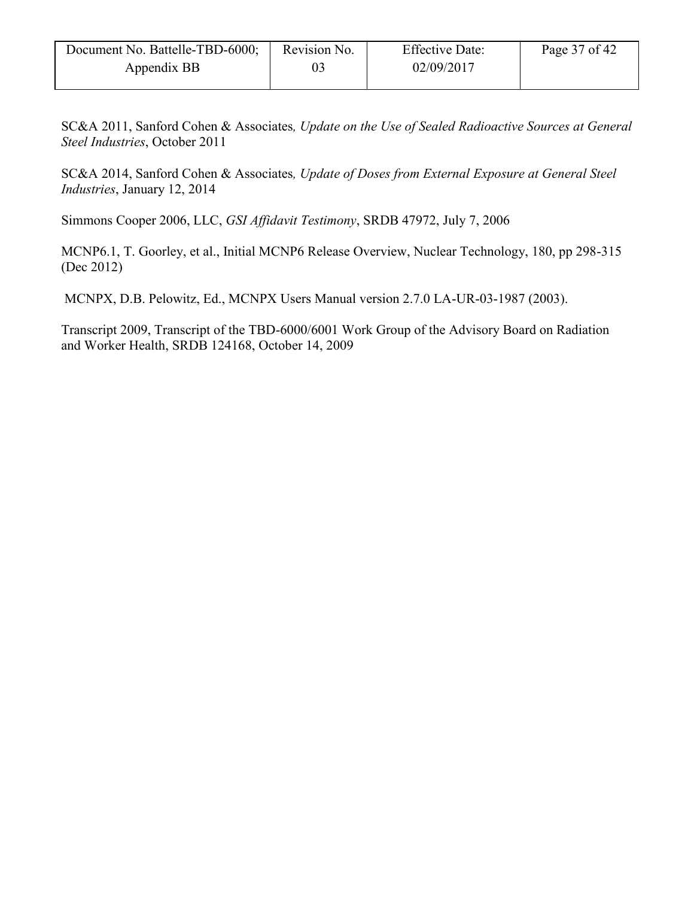| Document No. Battelle-TBD-6000; | Revision No. | <b>Effective Date:</b> | Page 37 of 42 |
|---------------------------------|--------------|------------------------|---------------|
| Appendix BB                     |              | 02/09/2017             |               |

SC&A 2011, Sanford Cohen & Associates*, Update on the Use of Sealed Radioactive Sources at General Steel Industries*, October 2011

SC&A 2014, Sanford Cohen & Associates*, Update of Doses from External Exposure at General Steel Industries*, January 12, 2014

Simmons Cooper 2006, LLC, *GSI Affidavit Testimony*, SRDB 47972, July 7, 2006

MCNP6.1, T. Goorley, et al., Initial MCNP6 Release Overview, Nuclear Technology, 180, pp 298-315 (Dec 2012)

MCNPX, D.B. Pelowitz, Ed., MCNPX Users Manual version 2.7.0 LA-UR-03-1987 (2003).

Transcript 2009, Transcript of the TBD-6000/6001 Work Group of the Advisory Board on Radiation and Worker Health, SRDB 124168, October 14, 2009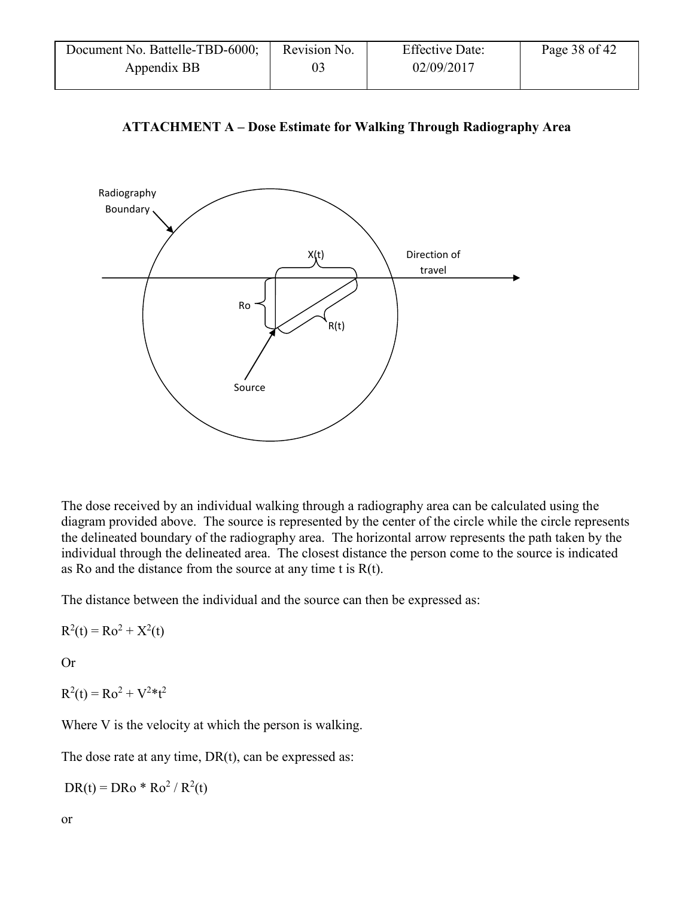| Document No. Battelle-TBD-6000; | Revision No. | <b>Effective Date:</b> | Page 38 of 42 |
|---------------------------------|--------------|------------------------|---------------|
| Appendix BB                     |              | 02/09/2017             |               |

<span id="page-37-0"></span>![](_page_37_Figure_1.jpeg)

![](_page_37_Figure_2.jpeg)

The dose received by an individual walking through a radiography area can be calculated using the diagram provided above. The source is represented by the center of the circle while the circle represents the delineated boundary of the radiography area. The horizontal arrow represents the path taken by the individual through the delineated area. The closest distance the person come to the source is indicated as Ro and the distance from the source at any time t is  $R(t)$ .

The distance between the individual and the source can then be expressed as:

 $R^2(t) = Ro^2 + X^2(t)$ 

Or

 $R^2(t) = Ro^2 + V^2 * t^2$ 

Where V is the velocity at which the person is walking.

The dose rate at any time, DR(t), can be expressed as:

 $DR(t) = DRo * Ro^2 / R^2(t)$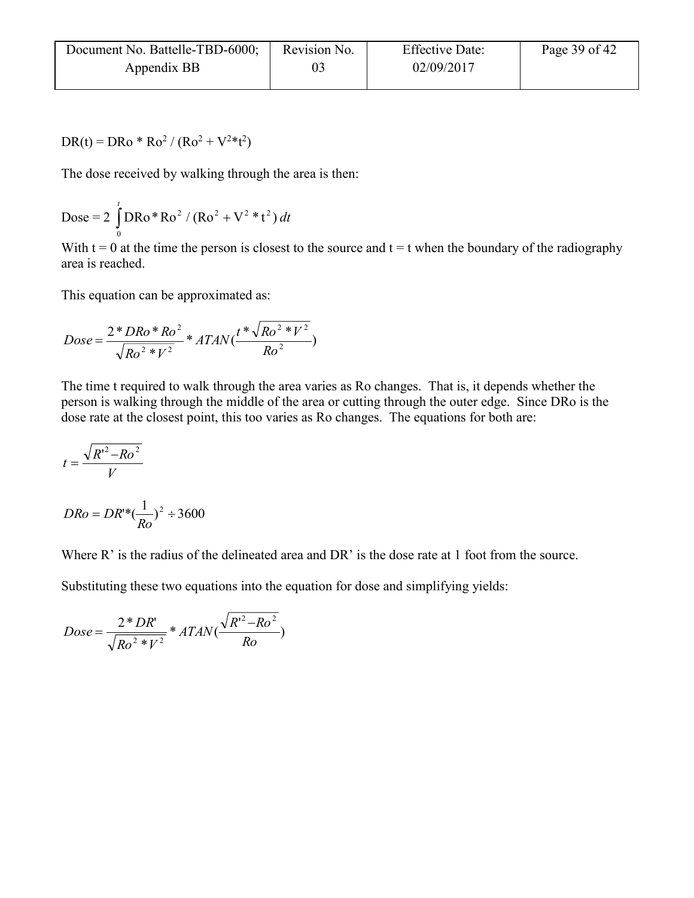| Document No. Battelle-TBD-6000; | Revision No. | <b>Effective Date:</b> | Page 39 of 42 |
|---------------------------------|--------------|------------------------|---------------|
| Appendix BB                     |              | 02/09/2017             |               |

$$
DR(t) = DRo * Ro2 / (Ro2 + V2*t2)
$$

The dose received by walking through the area is then:

Dose = 
$$
2 \int_{0}^{t} DRo*Ro^2 / (Ro^2 + V^2 * t^2) dt
$$

With  $t = 0$  at the time the person is closest to the source and  $t = t$  when the boundary of the radiography area is reached.

This equation can be approximated as:

$$
Dose = \frac{2 * DRo * Ro^2}{\sqrt{Ro^2 * \gamma^2}} * ATAN(\frac{t * \sqrt{Ro^2 * \gamma^2}}{Ro^2})
$$

The time t required to walk through the area varies as Ro changes. That is, it depends whether the person is walking through the middle of the area or cutting through the outer edge. Since DRo is the dose rate at the closest point, this too varies as Ro changes. The equations for both are:

$$
t = \frac{\sqrt{R'^2 - Ro^2}}{V}
$$

$$
DRo = DR^{**}(\frac{1}{Ro})^2 \div 3600
$$

Where R' is the radius of the delineated area and DR' is the dose rate at 1 foot from the source.

Substituting these two equations into the equation for dose and simplifying yields:

$$
Dose = \frac{2 * DR'}{\sqrt{Ro^2 * v^2}} * ATAN(\frac{\sqrt{R'^2 - Ro^2}}{Ro})
$$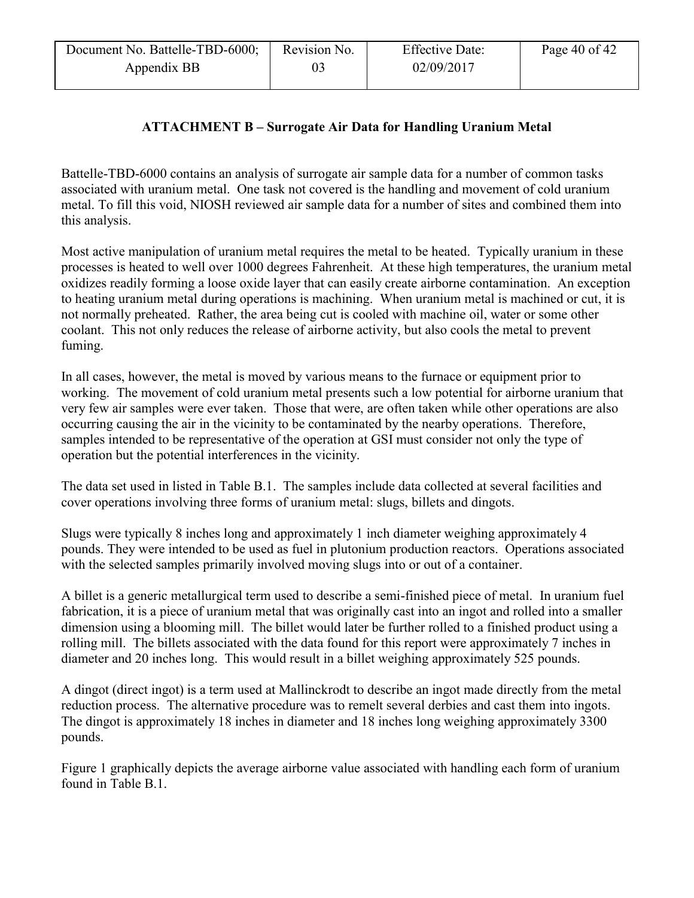## **ATTACHMENT B – Surrogate Air Data for Handling Uranium Metal**

<span id="page-39-0"></span>Battelle-TBD-6000 contains an analysis of surrogate air sample data for a number of common tasks associated with uranium metal. One task not covered is the handling and movement of cold uranium metal. To fill this void, NIOSH reviewed air sample data for a number of sites and combined them into this analysis.

Most active manipulation of uranium metal requires the metal to be heated. Typically uranium in these processes is heated to well over 1000 degrees Fahrenheit. At these high temperatures, the uranium metal oxidizes readily forming a loose oxide layer that can easily create airborne contamination. An exception to heating uranium metal during operations is machining. When uranium metal is machined or cut, it is not normally preheated. Rather, the area being cut is cooled with machine oil, water or some other coolant. This not only reduces the release of airborne activity, but also cools the metal to prevent fuming.

In all cases, however, the metal is moved by various means to the furnace or equipment prior to working. The movement of cold uranium metal presents such a low potential for airborne uranium that very few air samples were ever taken. Those that were, are often taken while other operations are also occurring causing the air in the vicinity to be contaminated by the nearby operations. Therefore, samples intended to be representative of the operation at GSI must consider not only the type of operation but the potential interferences in the vicinity.

The data set used in listed in Table B.1. The samples include data collected at several facilities and cover operations involving three forms of uranium metal: slugs, billets and dingots.

Slugs were typically 8 inches long and approximately 1 inch diameter weighing approximately 4 pounds. They were intended to be used as fuel in plutonium production reactors. Operations associated with the selected samples primarily involved moving slugs into or out of a container.

A billet is a generic metallurgical term used to describe a semi-finished piece of metal. In uranium fuel fabrication, it is a piece of uranium metal that was originally cast into an ingot and rolled into a smaller dimension using a blooming mill. The billet would later be further rolled to a finished product using a rolling mill. The billets associated with the data found for this report were approximately 7 inches in diameter and 20 inches long. This would result in a billet weighing approximately 525 pounds.

A dingot (direct ingot) is a term used at Mallinckrodt to describe an ingot made directly from the metal reduction process. The alternative procedure was to remelt several derbies and cast them into ingots. The dingot is approximately 18 inches in diameter and 18 inches long weighing approximately 3300 pounds.

Figure 1 graphically depicts the average airborne value associated with handling each form of uranium found in Table B.1.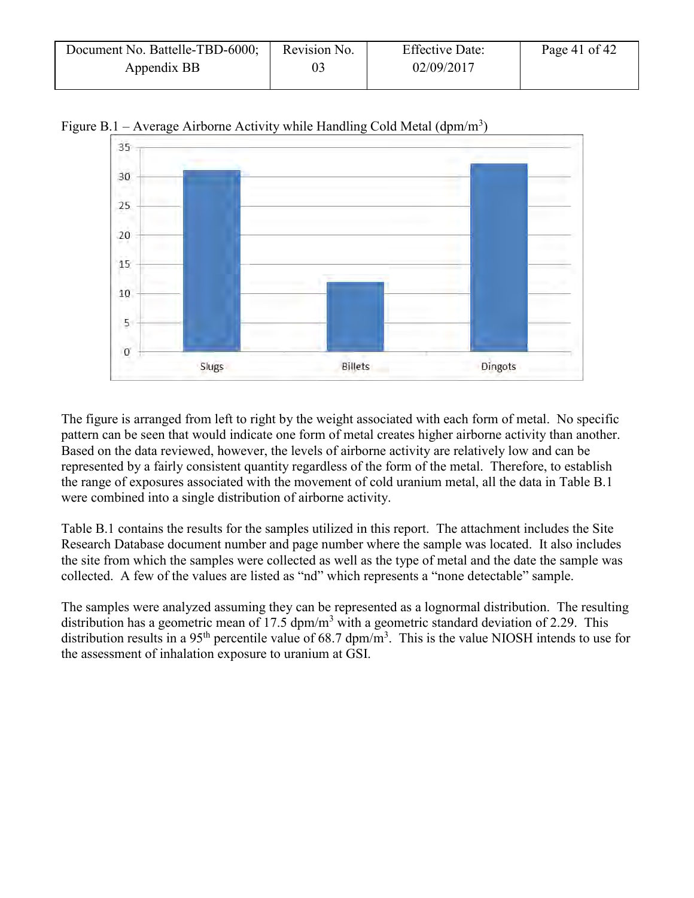| Document No. Battelle-TBD-6000; | Revision No. | <b>Effective Date:</b> | Page 41 of $42$ |
|---------------------------------|--------------|------------------------|-----------------|
| Appendix BB                     |              | 02/09/2017             |                 |

![](_page_40_Figure_1.jpeg)

<span id="page-40-1"></span>Figure B.1 – Average Airborne Activity while Handling Cold Metal  $(dpm/m<sup>3</sup>)$ 

The figure is arranged from left to right by the weight associated with each form of metal. No specific pattern can be seen that would indicate one form of metal creates higher airborne activity than another. Based on the data reviewed, however, the levels of airborne activity are relatively low and can be represented by a fairly consistent quantity regardless of the form of the metal. Therefore, to establish the range of exposures associated with the movement of cold uranium metal, all the data in Table B.1 were combined into a single distribution of airborne activity.

Table B.1 contains the results for the samples utilized in this report. The attachment includes the Site Research Database document number and page number where the sample was located. It also includes the site from which the samples were collected as well as the type of metal and the date the sample was collected. A few of the values are listed as "nd" which represents a "none detectable" sample.

<span id="page-40-0"></span>The samples were analyzed assuming they can be represented as a lognormal distribution. The resulting distribution has a geometric mean of 17.5 dpm/m<sup>3</sup> with a geometric standard deviation of 2.29. This distribution results in a 95<sup>th</sup> percentile value of 68.7 dpm/m<sup>3</sup>. This is the value NIOSH intends to use for the assessment of inhalation exposure to uranium at GSI.